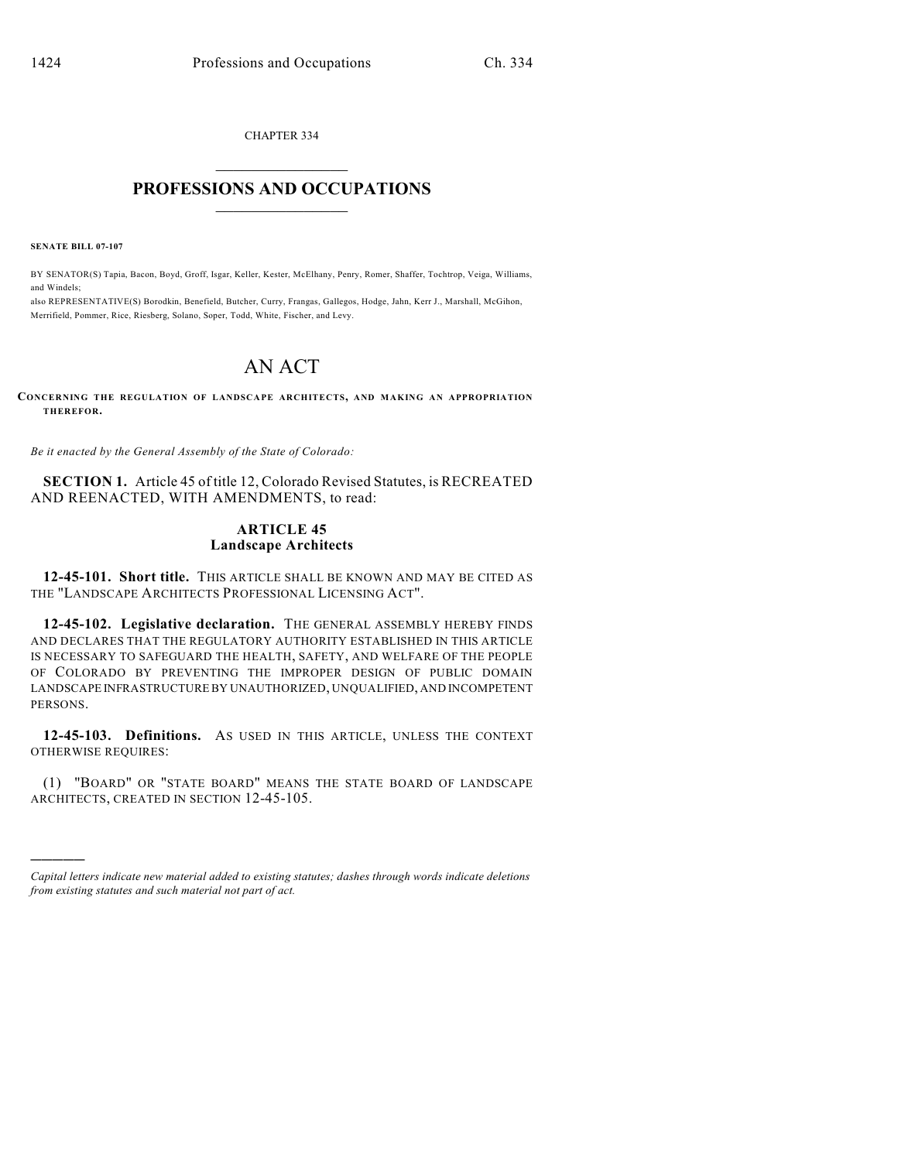CHAPTER 334  $\overline{\phantom{a}}$  . The set of the set of the set of the set of the set of the set of the set of the set of the set of the set of the set of the set of the set of the set of the set of the set of the set of the set of the set o

## **PROFESSIONS AND OCCUPATIONS**  $\frac{1}{2}$  ,  $\frac{1}{2}$  ,  $\frac{1}{2}$  ,  $\frac{1}{2}$  ,  $\frac{1}{2}$  ,  $\frac{1}{2}$

**SENATE BILL 07-107**

)))))

BY SENATOR(S) Tapia, Bacon, Boyd, Groff, Isgar, Keller, Kester, McElhany, Penry, Romer, Shaffer, Tochtrop, Veiga, Williams, and Windels;

also REPRESENTATIVE(S) Borodkin, Benefield, Butcher, Curry, Frangas, Gallegos, Hodge, Jahn, Kerr J., Marshall, McGihon, Merrifield, Pommer, Rice, Riesberg, Solano, Soper, Todd, White, Fischer, and Levy.

## AN ACT

**CONCERNING THE REGULATION OF LANDSCAPE ARCHITECTS, AND MAKING AN APPROPRIATION THEREFOR.**

*Be it enacted by the General Assembly of the State of Colorado:*

**SECTION 1.** Article 45 of title 12, Colorado Revised Statutes, is RECREATED AND REENACTED, WITH AMENDMENTS, to read:

## **ARTICLE 45 Landscape Architects**

**12-45-101. Short title.** THIS ARTICLE SHALL BE KNOWN AND MAY BE CITED AS THE "LANDSCAPE ARCHITECTS PROFESSIONAL LICENSING ACT".

**12-45-102. Legislative declaration.** THE GENERAL ASSEMBLY HEREBY FINDS AND DECLARES THAT THE REGULATORY AUTHORITY ESTABLISHED IN THIS ARTICLE IS NECESSARY TO SAFEGUARD THE HEALTH, SAFETY, AND WELFARE OF THE PEOPLE OF COLORADO BY PREVENTING THE IMPROPER DESIGN OF PUBLIC DOMAIN LANDSCAPE INFRASTRUCTURE BY UNAUTHORIZED, UNQUALIFIED, AND INCOMPETENT PERSONS.

**12-45-103. Definitions.** AS USED IN THIS ARTICLE, UNLESS THE CONTEXT OTHERWISE REQUIRES:

(1) "BOARD" OR "STATE BOARD" MEANS THE STATE BOARD OF LANDSCAPE ARCHITECTS, CREATED IN SECTION 12-45-105.

*Capital letters indicate new material added to existing statutes; dashes through words indicate deletions from existing statutes and such material not part of act.*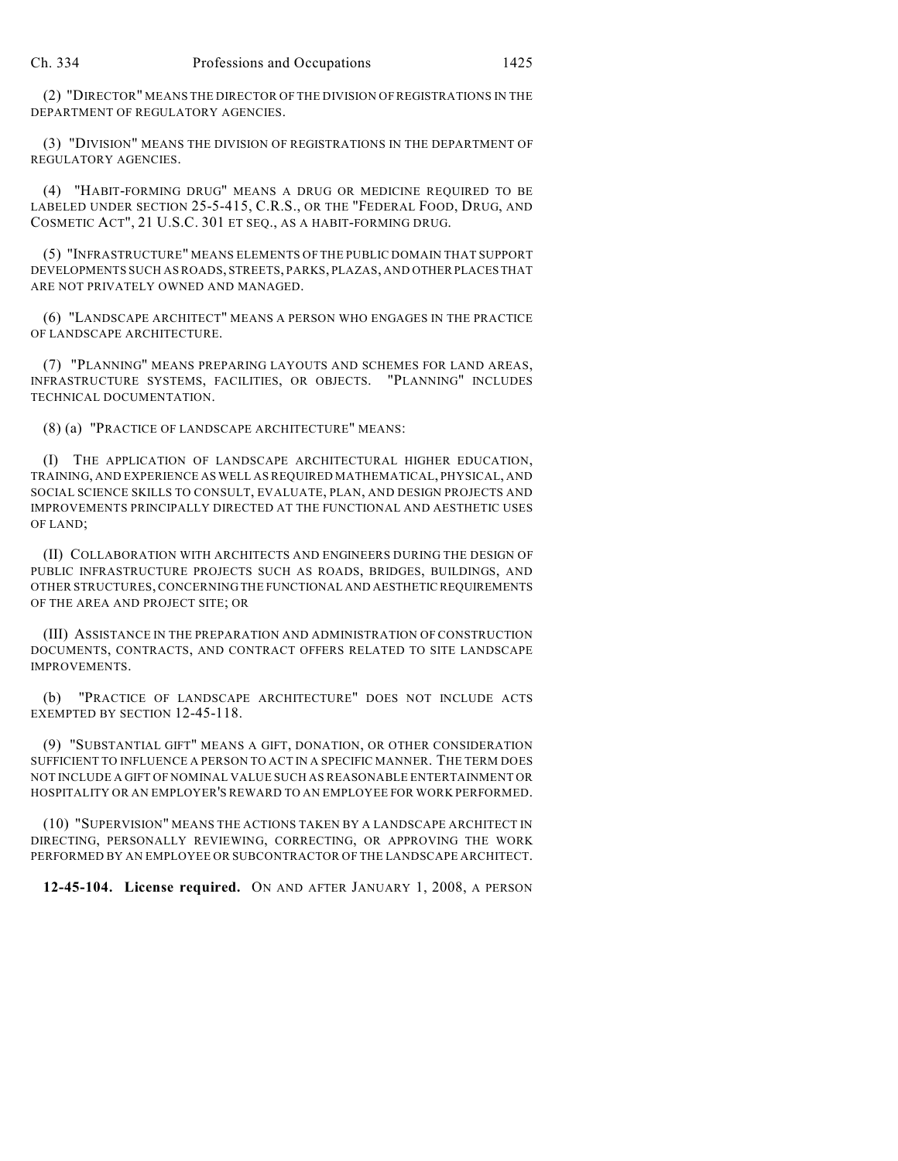(2) "DIRECTOR" MEANS THE DIRECTOR OF THE DIVISION OFREGISTRATIONS IN THE DEPARTMENT OF REGULATORY AGENCIES.

(3) "DIVISION" MEANS THE DIVISION OF REGISTRATIONS IN THE DEPARTMENT OF REGULATORY AGENCIES.

(4) "HABIT-FORMING DRUG" MEANS A DRUG OR MEDICINE REQUIRED TO BE LABELED UNDER SECTION 25-5-415, C.R.S., OR THE "FEDERAL FOOD, DRUG, AND COSMETIC ACT", 21 U.S.C. 301 ET SEQ., AS A HABIT-FORMING DRUG.

(5) "INFRASTRUCTURE" MEANS ELEMENTS OF THE PUBLIC DOMAIN THAT SUPPORT DEVELOPMENTS SUCH AS ROADS, STREETS, PARKS, PLAZAS, AND OTHER PLACES THAT ARE NOT PRIVATELY OWNED AND MANAGED.

(6) "LANDSCAPE ARCHITECT" MEANS A PERSON WHO ENGAGES IN THE PRACTICE OF LANDSCAPE ARCHITECTURE.

(7) "PLANNING" MEANS PREPARING LAYOUTS AND SCHEMES FOR LAND AREAS, INFRASTRUCTURE SYSTEMS, FACILITIES, OR OBJECTS. "PLANNING" INCLUDES TECHNICAL DOCUMENTATION.

(8) (a) "PRACTICE OF LANDSCAPE ARCHITECTURE" MEANS:

(I) THE APPLICATION OF LANDSCAPE ARCHITECTURAL HIGHER EDUCATION, TRAINING, AND EXPERIENCE AS WELL AS REQUIRED MATHEMATICAL, PHYSICAL, AND SOCIAL SCIENCE SKILLS TO CONSULT, EVALUATE, PLAN, AND DESIGN PROJECTS AND IMPROVEMENTS PRINCIPALLY DIRECTED AT THE FUNCTIONAL AND AESTHETIC USES OF LAND;

(II) COLLABORATION WITH ARCHITECTS AND ENGINEERS DURING THE DESIGN OF PUBLIC INFRASTRUCTURE PROJECTS SUCH AS ROADS, BRIDGES, BUILDINGS, AND OTHER STRUCTURES, CONCERNING THE FUNCTIONAL AND AESTHETIC REQUIREMENTS OF THE AREA AND PROJECT SITE; OR

(III) ASSISTANCE IN THE PREPARATION AND ADMINISTRATION OF CONSTRUCTION DOCUMENTS, CONTRACTS, AND CONTRACT OFFERS RELATED TO SITE LANDSCAPE IMPROVEMENTS.

(b) "PRACTICE OF LANDSCAPE ARCHITECTURE" DOES NOT INCLUDE ACTS EXEMPTED BY SECTION 12-45-118.

(9) "SUBSTANTIAL GIFT" MEANS A GIFT, DONATION, OR OTHER CONSIDERATION SUFFICIENT TO INFLUENCE A PERSON TO ACT IN A SPECIFIC MANNER. THE TERM DOES NOT INCLUDE A GIFT OF NOMINAL VALUE SUCH AS REASONABLE ENTERTAINMENT OR HOSPITALITY OR AN EMPLOYER'S REWARD TO AN EMPLOYEE FOR WORK PERFORMED.

(10) "SUPERVISION" MEANS THE ACTIONS TAKEN BY A LANDSCAPE ARCHITECT IN DIRECTING, PERSONALLY REVIEWING, CORRECTING, OR APPROVING THE WORK PERFORMED BY AN EMPLOYEE OR SUBCONTRACTOR OF THE LANDSCAPE ARCHITECT.

**12-45-104. License required.** ON AND AFTER JANUARY 1, 2008, A PERSON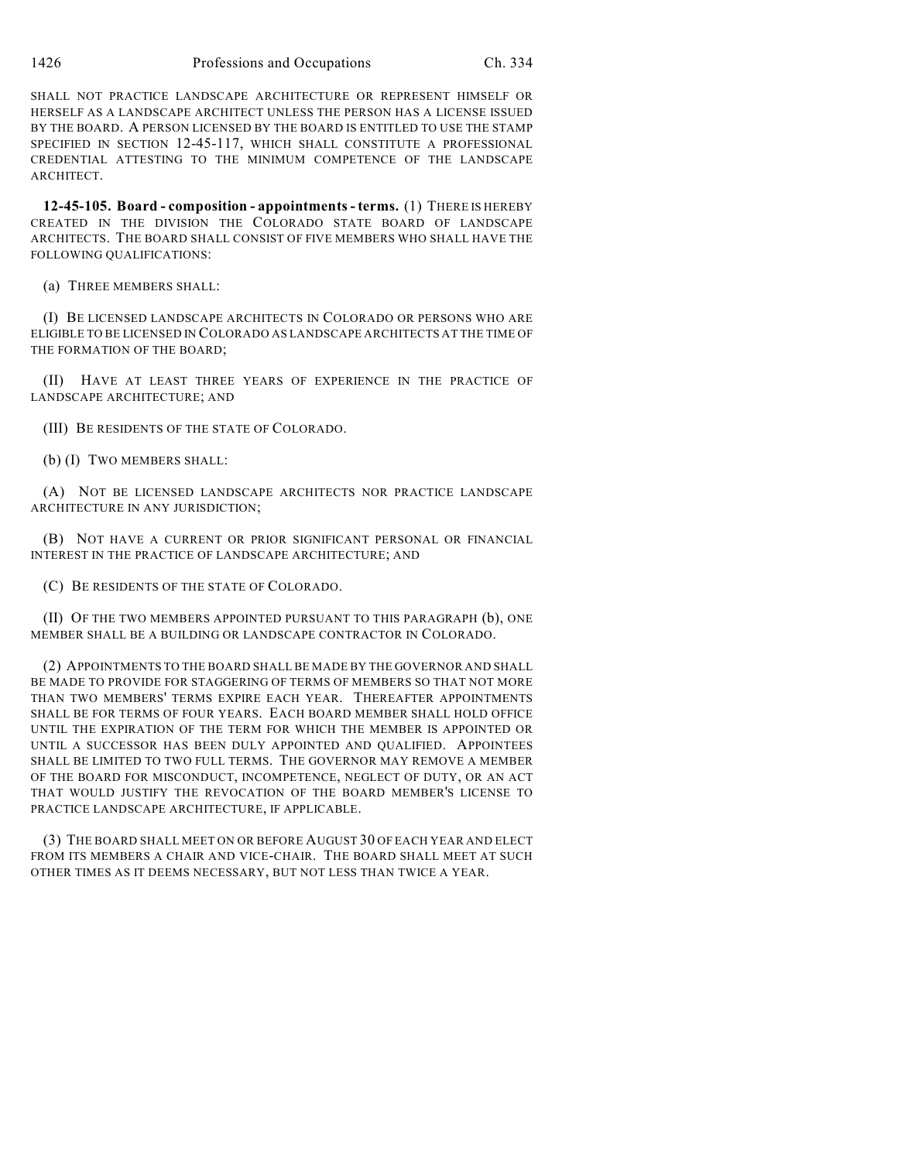SHALL NOT PRACTICE LANDSCAPE ARCHITECTURE OR REPRESENT HIMSELF OR HERSELF AS A LANDSCAPE ARCHITECT UNLESS THE PERSON HAS A LICENSE ISSUED BY THE BOARD. A PERSON LICENSED BY THE BOARD IS ENTITLED TO USE THE STAMP SPECIFIED IN SECTION 12-45-117, WHICH SHALL CONSTITUTE A PROFESSIONAL CREDENTIAL ATTESTING TO THE MINIMUM COMPETENCE OF THE LANDSCAPE ARCHITECT.

**12-45-105. Board - composition - appointments - terms.** (1) THERE IS HEREBY CREATED IN THE DIVISION THE COLORADO STATE BOARD OF LANDSCAPE ARCHITECTS. THE BOARD SHALL CONSIST OF FIVE MEMBERS WHO SHALL HAVE THE FOLLOWING QUALIFICATIONS:

(a) THREE MEMBERS SHALL:

(I) BE LICENSED LANDSCAPE ARCHITECTS IN COLORADO OR PERSONS WHO ARE ELIGIBLE TO BE LICENSED IN COLORADO AS LANDSCAPE ARCHITECTS AT THE TIME OF THE FORMATION OF THE BOARD;

(II) HAVE AT LEAST THREE YEARS OF EXPERIENCE IN THE PRACTICE OF LANDSCAPE ARCHITECTURE; AND

(III) BE RESIDENTS OF THE STATE OF COLORADO.

(b) (I) TWO MEMBERS SHALL:

(A) NOT BE LICENSED LANDSCAPE ARCHITECTS NOR PRACTICE LANDSCAPE ARCHITECTURE IN ANY JURISDICTION;

(B) NOT HAVE A CURRENT OR PRIOR SIGNIFICANT PERSONAL OR FINANCIAL INTEREST IN THE PRACTICE OF LANDSCAPE ARCHITECTURE; AND

(C) BE RESIDENTS OF THE STATE OF COLORADO.

(II) OF THE TWO MEMBERS APPOINTED PURSUANT TO THIS PARAGRAPH (b), ONE MEMBER SHALL BE A BUILDING OR LANDSCAPE CONTRACTOR IN COLORADO.

(2) APPOINTMENTS TO THE BOARD SHALL BE MADE BY THE GOVERNOR AND SHALL BE MADE TO PROVIDE FOR STAGGERING OF TERMS OF MEMBERS SO THAT NOT MORE THAN TWO MEMBERS' TERMS EXPIRE EACH YEAR. THEREAFTER APPOINTMENTS SHALL BE FOR TERMS OF FOUR YEARS. EACH BOARD MEMBER SHALL HOLD OFFICE UNTIL THE EXPIRATION OF THE TERM FOR WHICH THE MEMBER IS APPOINTED OR UNTIL A SUCCESSOR HAS BEEN DULY APPOINTED AND QUALIFIED. APPOINTEES SHALL BE LIMITED TO TWO FULL TERMS. THE GOVERNOR MAY REMOVE A MEMBER OF THE BOARD FOR MISCONDUCT, INCOMPETENCE, NEGLECT OF DUTY, OR AN ACT THAT WOULD JUSTIFY THE REVOCATION OF THE BOARD MEMBER'S LICENSE TO PRACTICE LANDSCAPE ARCHITECTURE, IF APPLICABLE.

(3) THE BOARD SHALL MEET ON OR BEFORE AUGUST 30 OF EACH YEAR AND ELECT FROM ITS MEMBERS A CHAIR AND VICE-CHAIR. THE BOARD SHALL MEET AT SUCH OTHER TIMES AS IT DEEMS NECESSARY, BUT NOT LESS THAN TWICE A YEAR.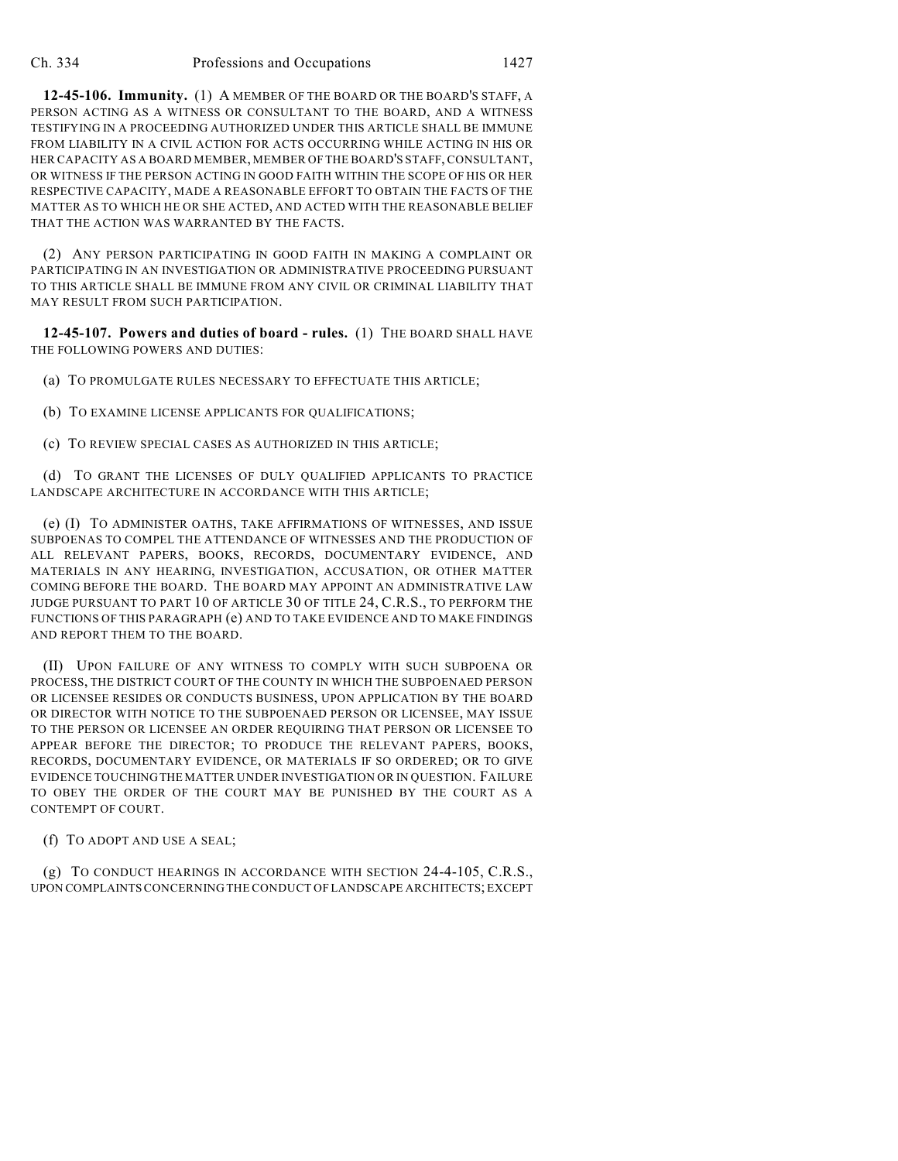**12-45-106. Immunity.** (1) A MEMBER OF THE BOARD OR THE BOARD'S STAFF, A PERSON ACTING AS A WITNESS OR CONSULTANT TO THE BOARD, AND A WITNESS TESTIFYING IN A PROCEEDING AUTHORIZED UNDER THIS ARTICLE SHALL BE IMMUNE FROM LIABILITY IN A CIVIL ACTION FOR ACTS OCCURRING WHILE ACTING IN HIS OR HER CAPACITY AS A BOARD MEMBER, MEMBER OF THE BOARD'S STAFF, CONSULTANT, OR WITNESS IF THE PERSON ACTING IN GOOD FAITH WITHIN THE SCOPE OF HIS OR HER RESPECTIVE CAPACITY, MADE A REASONABLE EFFORT TO OBTAIN THE FACTS OF THE MATTER AS TO WHICH HE OR SHE ACTED, AND ACTED WITH THE REASONABLE BELIEF THAT THE ACTION WAS WARRANTED BY THE FACTS.

(2) ANY PERSON PARTICIPATING IN GOOD FAITH IN MAKING A COMPLAINT OR PARTICIPATING IN AN INVESTIGATION OR ADMINISTRATIVE PROCEEDING PURSUANT TO THIS ARTICLE SHALL BE IMMUNE FROM ANY CIVIL OR CRIMINAL LIABILITY THAT MAY RESULT FROM SUCH PARTICIPATION.

**12-45-107. Powers and duties of board - rules.** (1) THE BOARD SHALL HAVE THE FOLLOWING POWERS AND DUTIES:

(a) TO PROMULGATE RULES NECESSARY TO EFFECTUATE THIS ARTICLE;

(b) TO EXAMINE LICENSE APPLICANTS FOR QUALIFICATIONS;

(c) TO REVIEW SPECIAL CASES AS AUTHORIZED IN THIS ARTICLE;

(d) TO GRANT THE LICENSES OF DULY QUALIFIED APPLICANTS TO PRACTICE LANDSCAPE ARCHITECTURE IN ACCORDANCE WITH THIS ARTICLE;

(e) (I) TO ADMINISTER OATHS, TAKE AFFIRMATIONS OF WITNESSES, AND ISSUE SUBPOENAS TO COMPEL THE ATTENDANCE OF WITNESSES AND THE PRODUCTION OF ALL RELEVANT PAPERS, BOOKS, RECORDS, DOCUMENTARY EVIDENCE, AND MATERIALS IN ANY HEARING, INVESTIGATION, ACCUSATION, OR OTHER MATTER COMING BEFORE THE BOARD. THE BOARD MAY APPOINT AN ADMINISTRATIVE LAW JUDGE PURSUANT TO PART 10 OF ARTICLE 30 OF TITLE 24, C.R.S., TO PERFORM THE FUNCTIONS OF THIS PARAGRAPH (e) AND TO TAKE EVIDENCE AND TO MAKE FINDINGS AND REPORT THEM TO THE BOARD.

(II) UPON FAILURE OF ANY WITNESS TO COMPLY WITH SUCH SUBPOENA OR PROCESS, THE DISTRICT COURT OF THE COUNTY IN WHICH THE SUBPOENAED PERSON OR LICENSEE RESIDES OR CONDUCTS BUSINESS, UPON APPLICATION BY THE BOARD OR DIRECTOR WITH NOTICE TO THE SUBPOENAED PERSON OR LICENSEE, MAY ISSUE TO THE PERSON OR LICENSEE AN ORDER REQUIRING THAT PERSON OR LICENSEE TO APPEAR BEFORE THE DIRECTOR; TO PRODUCE THE RELEVANT PAPERS, BOOKS, RECORDS, DOCUMENTARY EVIDENCE, OR MATERIALS IF SO ORDERED; OR TO GIVE EVIDENCE TOUCHING THE MATTER UNDER INVESTIGATION OR IN QUESTION. FAILURE TO OBEY THE ORDER OF THE COURT MAY BE PUNISHED BY THE COURT AS A CONTEMPT OF COURT.

(f) TO ADOPT AND USE A SEAL;

(g) TO CONDUCT HEARINGS IN ACCORDANCE WITH SECTION 24-4-105, C.R.S., UPON COMPLAINTS CONCERNING THE CONDUCT OF LANDSCAPE ARCHITECTS; EXCEPT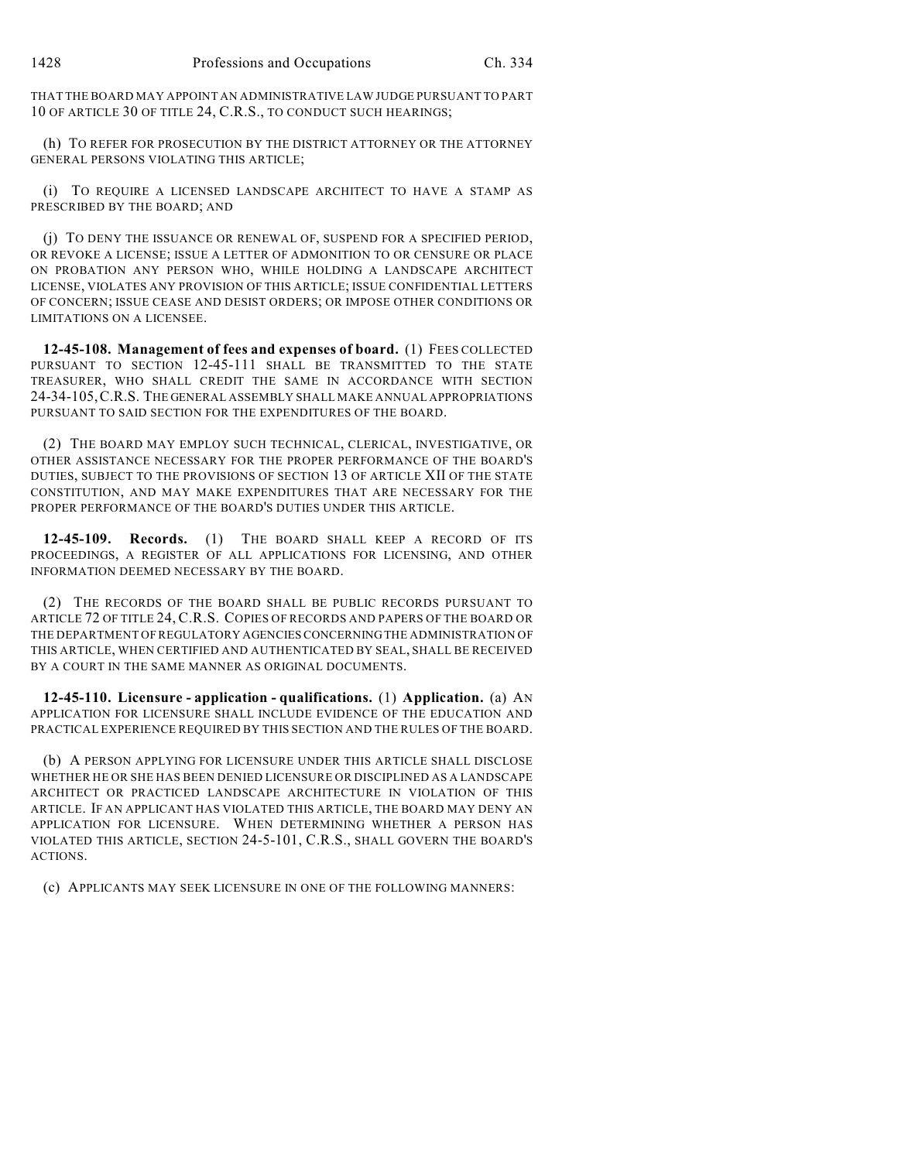THAT THE BOARD MAY APPOINT AN ADMINISTRATIVE LAW JUDGE PURSUANT TO PART 10 OF ARTICLE 30 OF TITLE 24, C.R.S., TO CONDUCT SUCH HEARINGS;

(h) TO REFER FOR PROSECUTION BY THE DISTRICT ATTORNEY OR THE ATTORNEY GENERAL PERSONS VIOLATING THIS ARTICLE;

(i) TO REQUIRE A LICENSED LANDSCAPE ARCHITECT TO HAVE A STAMP AS PRESCRIBED BY THE BOARD; AND

(j) TO DENY THE ISSUANCE OR RENEWAL OF, SUSPEND FOR A SPECIFIED PERIOD, OR REVOKE A LICENSE; ISSUE A LETTER OF ADMONITION TO OR CENSURE OR PLACE ON PROBATION ANY PERSON WHO, WHILE HOLDING A LANDSCAPE ARCHITECT LICENSE, VIOLATES ANY PROVISION OF THIS ARTICLE; ISSUE CONFIDENTIAL LETTERS OF CONCERN; ISSUE CEASE AND DESIST ORDERS; OR IMPOSE OTHER CONDITIONS OR LIMITATIONS ON A LICENSEE.

**12-45-108. Management of fees and expenses of board.** (1) FEES COLLECTED PURSUANT TO SECTION 12-45-111 SHALL BE TRANSMITTED TO THE STATE TREASURER, WHO SHALL CREDIT THE SAME IN ACCORDANCE WITH SECTION 24-34-105,C.R.S. THE GENERAL ASSEMBLY SHALL MAKE ANNUAL APPROPRIATIONS PURSUANT TO SAID SECTION FOR THE EXPENDITURES OF THE BOARD.

(2) THE BOARD MAY EMPLOY SUCH TECHNICAL, CLERICAL, INVESTIGATIVE, OR OTHER ASSISTANCE NECESSARY FOR THE PROPER PERFORMANCE OF THE BOARD'S DUTIES, SUBJECT TO THE PROVISIONS OF SECTION 13 OF ARTICLE XII OF THE STATE CONSTITUTION, AND MAY MAKE EXPENDITURES THAT ARE NECESSARY FOR THE PROPER PERFORMANCE OF THE BOARD'S DUTIES UNDER THIS ARTICLE.

**12-45-109. Records.** (1) THE BOARD SHALL KEEP A RECORD OF ITS PROCEEDINGS, A REGISTER OF ALL APPLICATIONS FOR LICENSING, AND OTHER INFORMATION DEEMED NECESSARY BY THE BOARD.

(2) THE RECORDS OF THE BOARD SHALL BE PUBLIC RECORDS PURSUANT TO ARTICLE 72 OF TITLE 24, C.R.S. COPIES OF RECORDS AND PAPERS OF THE BOARD OR THE DEPARTMENT OF REGULATORY AGENCIES CONCERNING THE ADMINISTRATION OF THIS ARTICLE, WHEN CERTIFIED AND AUTHENTICATED BY SEAL, SHALL BE RECEIVED BY A COURT IN THE SAME MANNER AS ORIGINAL DOCUMENTS.

**12-45-110. Licensure - application - qualifications.** (1) **Application.** (a) AN APPLICATION FOR LICENSURE SHALL INCLUDE EVIDENCE OF THE EDUCATION AND PRACTICAL EXPERIENCE REQUIRED BY THIS SECTION AND THE RULES OF THE BOARD.

(b) A PERSON APPLYING FOR LICENSURE UNDER THIS ARTICLE SHALL DISCLOSE WHETHER HE OR SHE HAS BEEN DENIED LICENSURE OR DISCIPLINED AS A LANDSCAPE ARCHITECT OR PRACTICED LANDSCAPE ARCHITECTURE IN VIOLATION OF THIS ARTICLE. IF AN APPLICANT HAS VIOLATED THIS ARTICLE, THE BOARD MAY DENY AN APPLICATION FOR LICENSURE. WHEN DETERMINING WHETHER A PERSON HAS VIOLATED THIS ARTICLE, SECTION 24-5-101, C.R.S., SHALL GOVERN THE BOARD'S ACTIONS.

(c) APPLICANTS MAY SEEK LICENSURE IN ONE OF THE FOLLOWING MANNERS: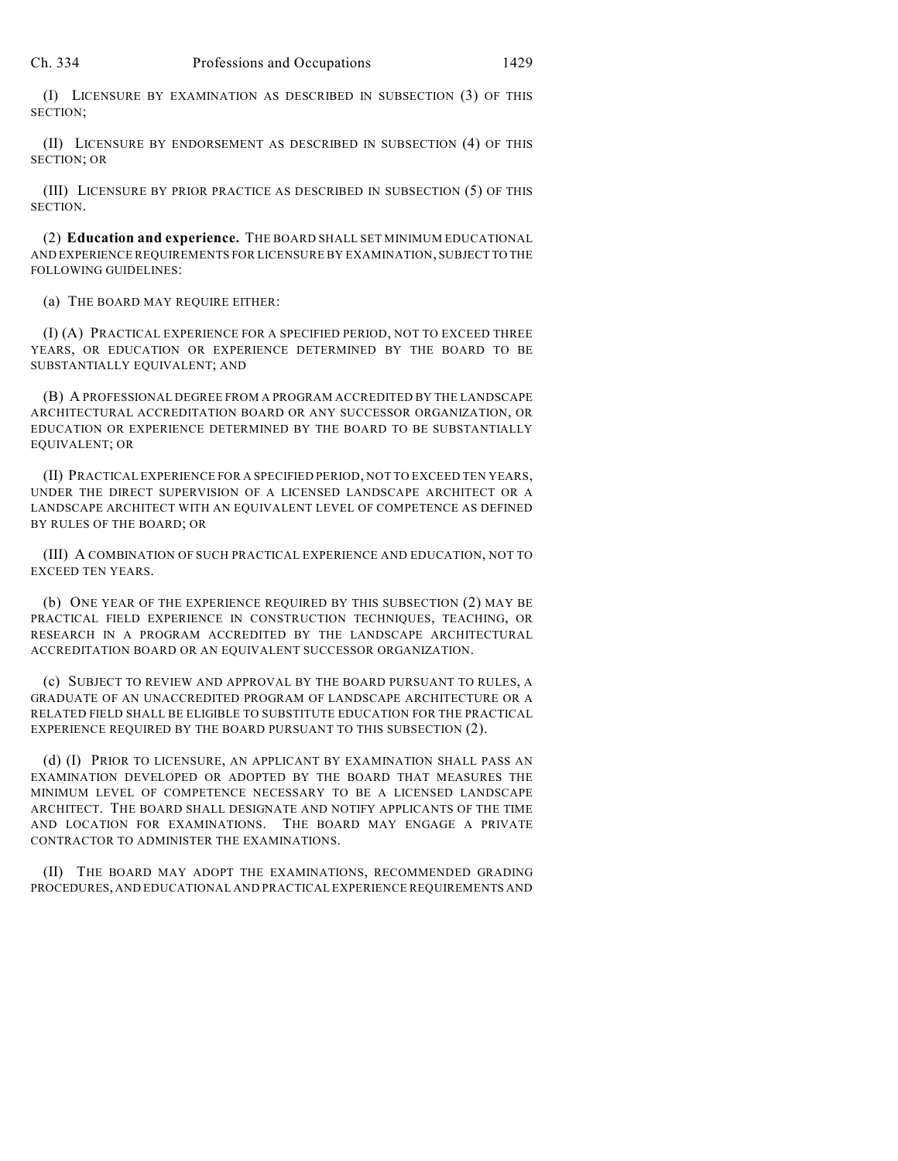(I) LICENSURE BY EXAMINATION AS DESCRIBED IN SUBSECTION (3) OF THIS SECTION;

(II) LICENSURE BY ENDORSEMENT AS DESCRIBED IN SUBSECTION (4) OF THIS SECTION; OR

(III) LICENSURE BY PRIOR PRACTICE AS DESCRIBED IN SUBSECTION (5) OF THIS SECTION.

(2) **Education and experience.** THE BOARD SHALL SET MINIMUM EDUCATIONAL AND EXPERIENCE REQUIREMENTS FOR LICENSURE BY EXAMINATION, SUBJECT TO THE FOLLOWING GUIDELINES:

(a) THE BOARD MAY REQUIRE EITHER:

(I) (A) PRACTICAL EXPERIENCE FOR A SPECIFIED PERIOD, NOT TO EXCEED THREE YEARS, OR EDUCATION OR EXPERIENCE DETERMINED BY THE BOARD TO BE SUBSTANTIALLY EQUIVALENT; AND

(B) A PROFESSIONAL DEGREE FROM A PROGRAM ACCREDITED BY THE LANDSCAPE ARCHITECTURAL ACCREDITATION BOARD OR ANY SUCCESSOR ORGANIZATION, OR EDUCATION OR EXPERIENCE DETERMINED BY THE BOARD TO BE SUBSTANTIALLY EQUIVALENT; OR

(II) PRACTICAL EXPERIENCE FOR A SPECIFIED PERIOD, NOT TO EXCEED TEN YEARS, UNDER THE DIRECT SUPERVISION OF A LICENSED LANDSCAPE ARCHITECT OR A LANDSCAPE ARCHITECT WITH AN EQUIVALENT LEVEL OF COMPETENCE AS DEFINED BY RULES OF THE BOARD; OR

(III) A COMBINATION OF SUCH PRACTICAL EXPERIENCE AND EDUCATION, NOT TO EXCEED TEN YEARS.

(b) ONE YEAR OF THE EXPERIENCE REQUIRED BY THIS SUBSECTION (2) MAY BE PRACTICAL FIELD EXPERIENCE IN CONSTRUCTION TECHNIQUES, TEACHING, OR RESEARCH IN A PROGRAM ACCREDITED BY THE LANDSCAPE ARCHITECTURAL ACCREDITATION BOARD OR AN EQUIVALENT SUCCESSOR ORGANIZATION.

(c) SUBJECT TO REVIEW AND APPROVAL BY THE BOARD PURSUANT TO RULES, A GRADUATE OF AN UNACCREDITED PROGRAM OF LANDSCAPE ARCHITECTURE OR A RELATED FIELD SHALL BE ELIGIBLE TO SUBSTITUTE EDUCATION FOR THE PRACTICAL EXPERIENCE REQUIRED BY THE BOARD PURSUANT TO THIS SUBSECTION (2).

(d) (I) PRIOR TO LICENSURE, AN APPLICANT BY EXAMINATION SHALL PASS AN EXAMINATION DEVELOPED OR ADOPTED BY THE BOARD THAT MEASURES THE MINIMUM LEVEL OF COMPETENCE NECESSARY TO BE A LICENSED LANDSCAPE ARCHITECT. THE BOARD SHALL DESIGNATE AND NOTIFY APPLICANTS OF THE TIME AND LOCATION FOR EXAMINATIONS. THE BOARD MAY ENGAGE A PRIVATE CONTRACTOR TO ADMINISTER THE EXAMINATIONS.

(II) THE BOARD MAY ADOPT THE EXAMINATIONS, RECOMMENDED GRADING PROCEDURES, AND EDUCATIONAL AND PRACTICAL EXPERIENCE REQUIREMENTS AND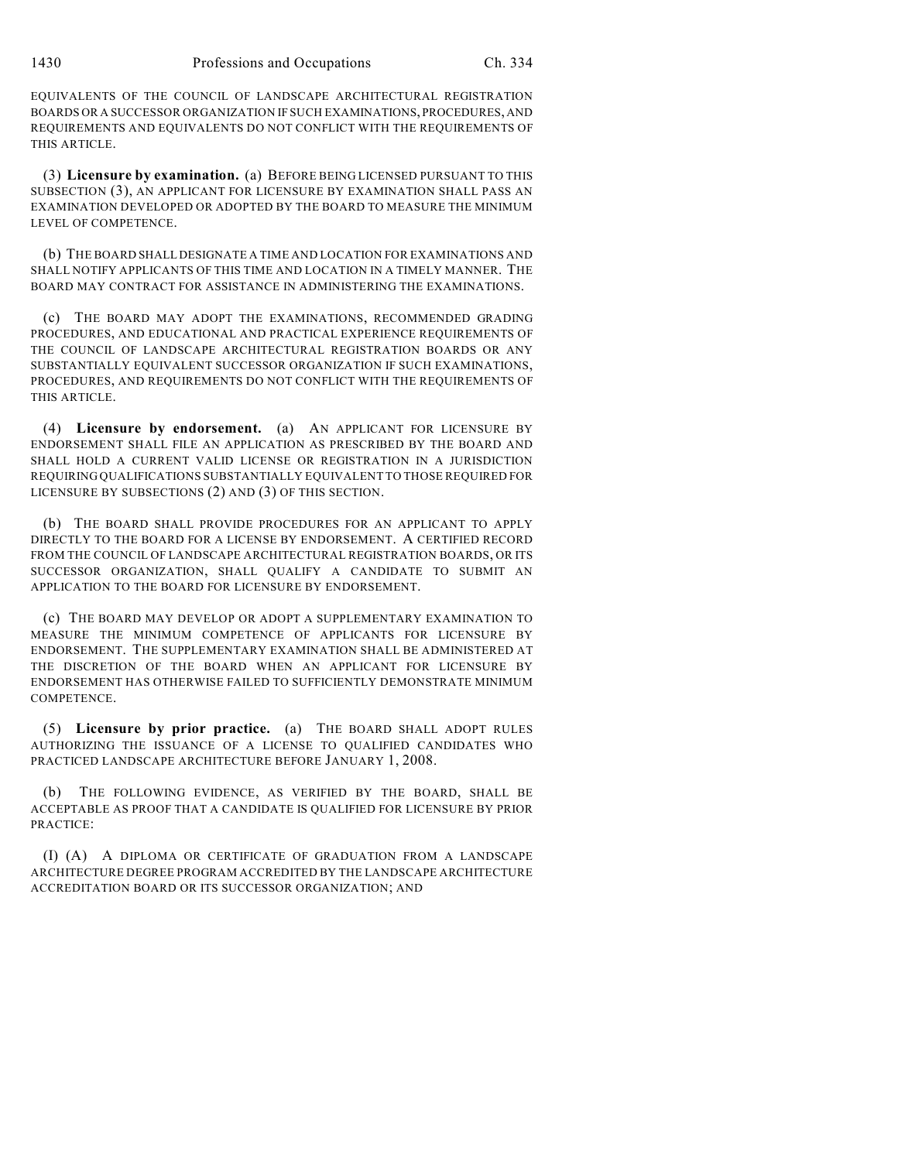EQUIVALENTS OF THE COUNCIL OF LANDSCAPE ARCHITECTURAL REGISTRATION BOARDS OR A SUCCESSOR ORGANIZATION IF SUCH EXAMINATIONS, PROCEDURES, AND REQUIREMENTS AND EQUIVALENTS DO NOT CONFLICT WITH THE REQUIREMENTS OF THIS ARTICLE.

(3) **Licensure by examination.** (a) BEFORE BEING LICENSED PURSUANT TO THIS SUBSECTION (3), AN APPLICANT FOR LICENSURE BY EXAMINATION SHALL PASS AN EXAMINATION DEVELOPED OR ADOPTED BY THE BOARD TO MEASURE THE MINIMUM LEVEL OF COMPETENCE.

(b) THE BOARD SHALL DESIGNATE A TIME AND LOCATION FOR EXAMINATIONS AND SHALL NOTIFY APPLICANTS OF THIS TIME AND LOCATION IN A TIMELY MANNER. THE BOARD MAY CONTRACT FOR ASSISTANCE IN ADMINISTERING THE EXAMINATIONS.

(c) THE BOARD MAY ADOPT THE EXAMINATIONS, RECOMMENDED GRADING PROCEDURES, AND EDUCATIONAL AND PRACTICAL EXPERIENCE REQUIREMENTS OF THE COUNCIL OF LANDSCAPE ARCHITECTURAL REGISTRATION BOARDS OR ANY SUBSTANTIALLY EQUIVALENT SUCCESSOR ORGANIZATION IF SUCH EXAMINATIONS, PROCEDURES, AND REQUIREMENTS DO NOT CONFLICT WITH THE REQUIREMENTS OF THIS ARTICLE.

(4) **Licensure by endorsement.** (a) AN APPLICANT FOR LICENSURE BY ENDORSEMENT SHALL FILE AN APPLICATION AS PRESCRIBED BY THE BOARD AND SHALL HOLD A CURRENT VALID LICENSE OR REGISTRATION IN A JURISDICTION REQUIRING QUALIFICATIONS SUBSTANTIALLY EQUIVALENT TO THOSE REQUIRED FOR LICENSURE BY SUBSECTIONS (2) AND (3) OF THIS SECTION.

(b) THE BOARD SHALL PROVIDE PROCEDURES FOR AN APPLICANT TO APPLY DIRECTLY TO THE BOARD FOR A LICENSE BY ENDORSEMENT. A CERTIFIED RECORD FROM THE COUNCIL OF LANDSCAPE ARCHITECTURAL REGISTRATION BOARDS, OR ITS SUCCESSOR ORGANIZATION, SHALL QUALIFY A CANDIDATE TO SUBMIT AN APPLICATION TO THE BOARD FOR LICENSURE BY ENDORSEMENT.

(c) THE BOARD MAY DEVELOP OR ADOPT A SUPPLEMENTARY EXAMINATION TO MEASURE THE MINIMUM COMPETENCE OF APPLICANTS FOR LICENSURE BY ENDORSEMENT. THE SUPPLEMENTARY EXAMINATION SHALL BE ADMINISTERED AT THE DISCRETION OF THE BOARD WHEN AN APPLICANT FOR LICENSURE BY ENDORSEMENT HAS OTHERWISE FAILED TO SUFFICIENTLY DEMONSTRATE MINIMUM COMPETENCE.

(5) **Licensure by prior practice.** (a) THE BOARD SHALL ADOPT RULES AUTHORIZING THE ISSUANCE OF A LICENSE TO QUALIFIED CANDIDATES WHO PRACTICED LANDSCAPE ARCHITECTURE BEFORE JANUARY 1, 2008.

(b) THE FOLLOWING EVIDENCE, AS VERIFIED BY THE BOARD, SHALL BE ACCEPTABLE AS PROOF THAT A CANDIDATE IS QUALIFIED FOR LICENSURE BY PRIOR PRACTICE:

(I) (A) A DIPLOMA OR CERTIFICATE OF GRADUATION FROM A LANDSCAPE ARCHITECTURE DEGREE PROGRAM ACCREDITED BY THE LANDSCAPE ARCHITECTURE ACCREDITATION BOARD OR ITS SUCCESSOR ORGANIZATION; AND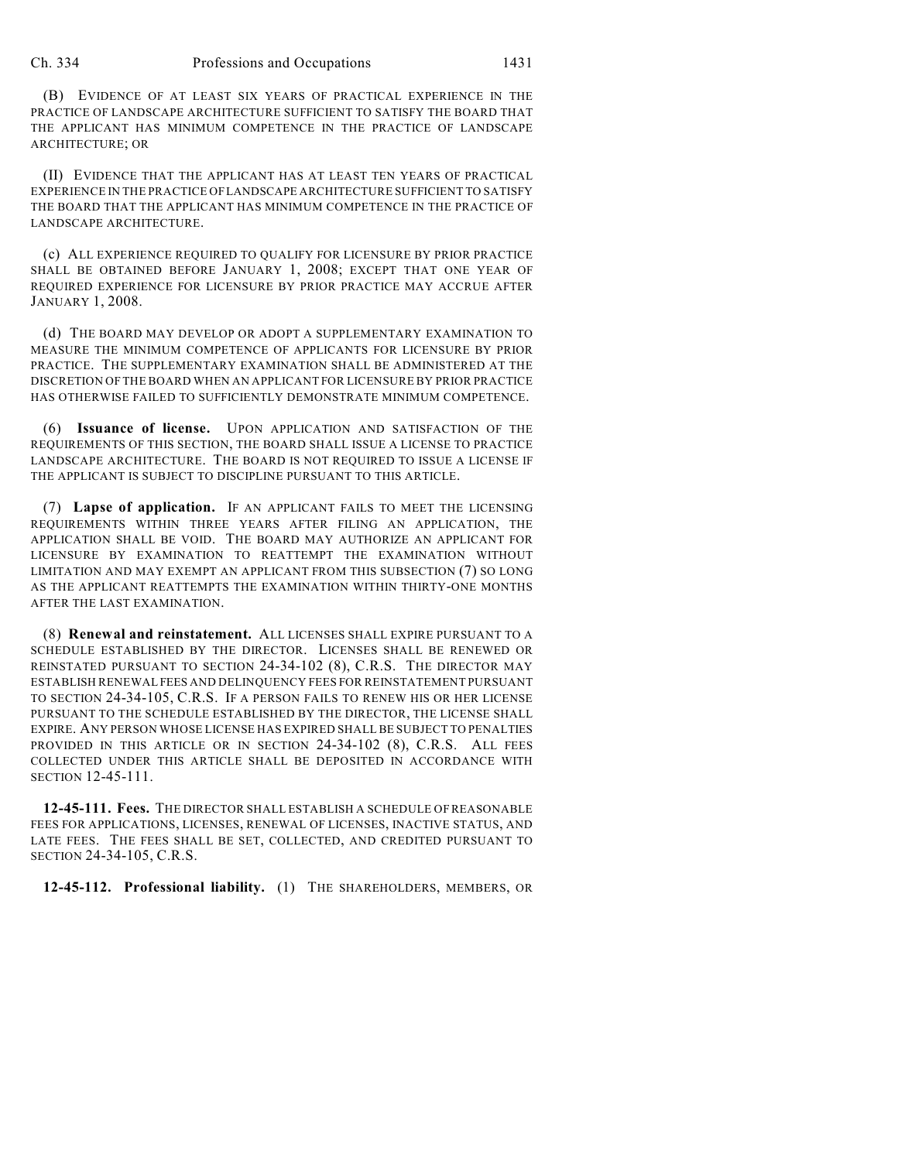(B) EVIDENCE OF AT LEAST SIX YEARS OF PRACTICAL EXPERIENCE IN THE PRACTICE OF LANDSCAPE ARCHITECTURE SUFFICIENT TO SATISFY THE BOARD THAT THE APPLICANT HAS MINIMUM COMPETENCE IN THE PRACTICE OF LANDSCAPE ARCHITECTURE; OR

(II) EVIDENCE THAT THE APPLICANT HAS AT LEAST TEN YEARS OF PRACTICAL EXPERIENCE IN THE PRACTICE OF LANDSCAPE ARCHITECTURE SUFFICIENT TO SATISFY THE BOARD THAT THE APPLICANT HAS MINIMUM COMPETENCE IN THE PRACTICE OF LANDSCAPE ARCHITECTURE.

(c) ALL EXPERIENCE REQUIRED TO QUALIFY FOR LICENSURE BY PRIOR PRACTICE SHALL BE OBTAINED BEFORE JANUARY 1, 2008; EXCEPT THAT ONE YEAR OF REQUIRED EXPERIENCE FOR LICENSURE BY PRIOR PRACTICE MAY ACCRUE AFTER JANUARY 1, 2008.

(d) THE BOARD MAY DEVELOP OR ADOPT A SUPPLEMENTARY EXAMINATION TO MEASURE THE MINIMUM COMPETENCE OF APPLICANTS FOR LICENSURE BY PRIOR PRACTICE. THE SUPPLEMENTARY EXAMINATION SHALL BE ADMINISTERED AT THE DISCRETION OFTHE BOARD WHEN AN APPLICANT FOR LICENSURE BY PRIOR PRACTICE HAS OTHERWISE FAILED TO SUFFICIENTLY DEMONSTRATE MINIMUM COMPETENCE.

(6) **Issuance of license.** UPON APPLICATION AND SATISFACTION OF THE REQUIREMENTS OF THIS SECTION, THE BOARD SHALL ISSUE A LICENSE TO PRACTICE LANDSCAPE ARCHITECTURE. THE BOARD IS NOT REQUIRED TO ISSUE A LICENSE IF THE APPLICANT IS SUBJECT TO DISCIPLINE PURSUANT TO THIS ARTICLE.

(7) **Lapse of application.** IF AN APPLICANT FAILS TO MEET THE LICENSING REQUIREMENTS WITHIN THREE YEARS AFTER FILING AN APPLICATION, THE APPLICATION SHALL BE VOID. THE BOARD MAY AUTHORIZE AN APPLICANT FOR LICENSURE BY EXAMINATION TO REATTEMPT THE EXAMINATION WITHOUT LIMITATION AND MAY EXEMPT AN APPLICANT FROM THIS SUBSECTION (7) SO LONG AS THE APPLICANT REATTEMPTS THE EXAMINATION WITHIN THIRTY-ONE MONTHS AFTER THE LAST EXAMINATION.

(8) **Renewal and reinstatement.** ALL LICENSES SHALL EXPIRE PURSUANT TO A SCHEDULE ESTABLISHED BY THE DIRECTOR. LICENSES SHALL BE RENEWED OR REINSTATED PURSUANT TO SECTION 24-34-102 (8), C.R.S. THE DIRECTOR MAY ESTABLISH RENEWAL FEES AND DELINQUENCY FEES FOR REINSTATEMENT PURSUANT TO SECTION 24-34-105, C.R.S. IF A PERSON FAILS TO RENEW HIS OR HER LICENSE PURSUANT TO THE SCHEDULE ESTABLISHED BY THE DIRECTOR, THE LICENSE SHALL EXPIRE. ANY PERSON WHOSE LICENSE HAS EXPIRED SHALL BE SUBJECT TO PENALTIES PROVIDED IN THIS ARTICLE OR IN SECTION 24-34-102 (8), C.R.S. ALL FEES COLLECTED UNDER THIS ARTICLE SHALL BE DEPOSITED IN ACCORDANCE WITH SECTION 12-45-111.

**12-45-111. Fees.** THE DIRECTOR SHALL ESTABLISH A SCHEDULE OF REASONABLE FEES FOR APPLICATIONS, LICENSES, RENEWAL OF LICENSES, INACTIVE STATUS, AND LATE FEES. THE FEES SHALL BE SET, COLLECTED, AND CREDITED PURSUANT TO SECTION 24-34-105, C.R.S.

**12-45-112. Professional liability.** (1) THE SHAREHOLDERS, MEMBERS, OR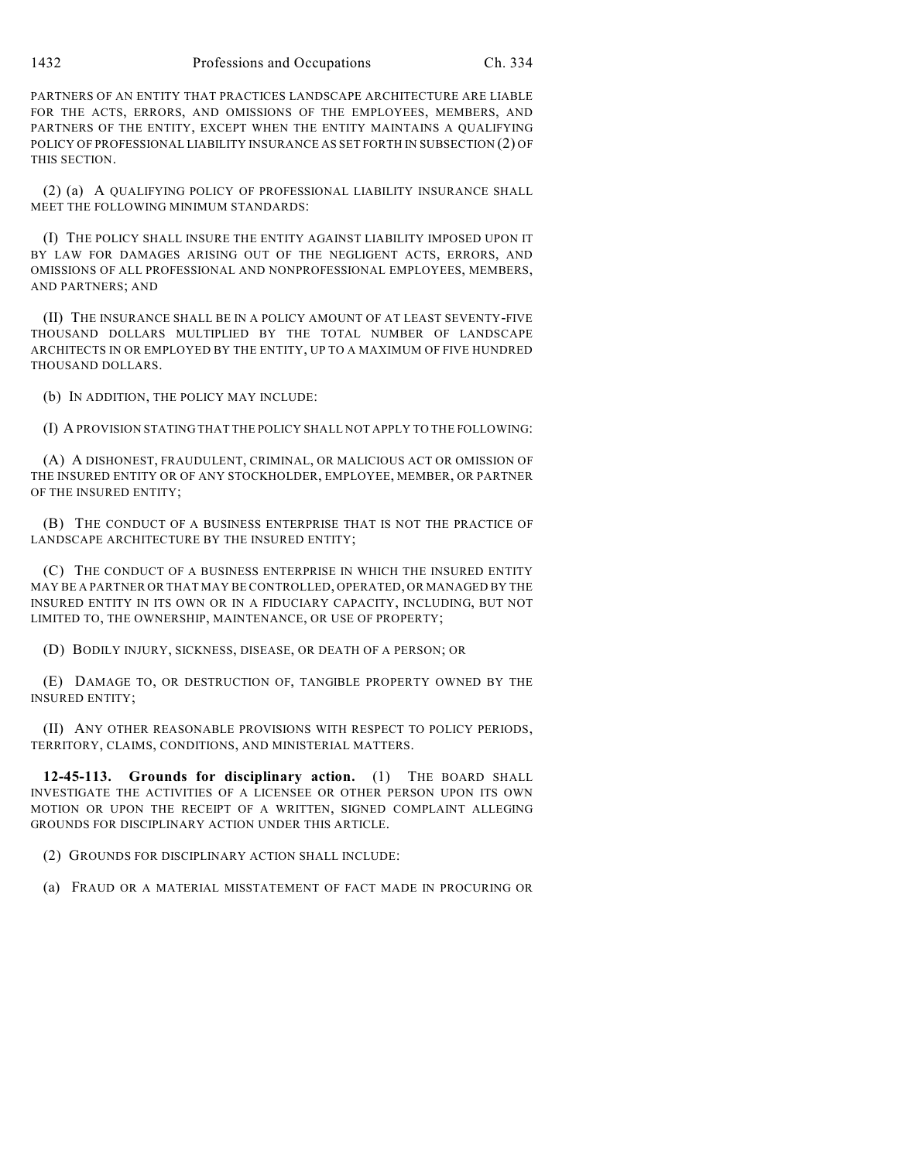1432 Professions and Occupations Ch. 334

PARTNERS OF AN ENTITY THAT PRACTICES LANDSCAPE ARCHITECTURE ARE LIABLE FOR THE ACTS, ERRORS, AND OMISSIONS OF THE EMPLOYEES, MEMBERS, AND PARTNERS OF THE ENTITY, EXCEPT WHEN THE ENTITY MAINTAINS A QUALIFYING POLICY OF PROFESSIONAL LIABILITY INSURANCE AS SET FORTH IN SUBSECTION (2) OF THIS SECTION.

(2) (a) A QUALIFYING POLICY OF PROFESSIONAL LIABILITY INSURANCE SHALL MEET THE FOLLOWING MINIMUM STANDARDS:

(I) THE POLICY SHALL INSURE THE ENTITY AGAINST LIABILITY IMPOSED UPON IT BY LAW FOR DAMAGES ARISING OUT OF THE NEGLIGENT ACTS, ERRORS, AND OMISSIONS OF ALL PROFESSIONAL AND NONPROFESSIONAL EMPLOYEES, MEMBERS, AND PARTNERS; AND

(II) THE INSURANCE SHALL BE IN A POLICY AMOUNT OF AT LEAST SEVENTY-FIVE THOUSAND DOLLARS MULTIPLIED BY THE TOTAL NUMBER OF LANDSCAPE ARCHITECTS IN OR EMPLOYED BY THE ENTITY, UP TO A MAXIMUM OF FIVE HUNDRED THOUSAND DOLLARS.

(b) IN ADDITION, THE POLICY MAY INCLUDE:

(I) A PROVISION STATING THAT THE POLICY SHALL NOT APPLY TO THE FOLLOWING:

(A) A DISHONEST, FRAUDULENT, CRIMINAL, OR MALICIOUS ACT OR OMISSION OF THE INSURED ENTITY OR OF ANY STOCKHOLDER, EMPLOYEE, MEMBER, OR PARTNER OF THE INSURED ENTITY;

(B) THE CONDUCT OF A BUSINESS ENTERPRISE THAT IS NOT THE PRACTICE OF LANDSCAPE ARCHITECTURE BY THE INSURED ENTITY;

(C) THE CONDUCT OF A BUSINESS ENTERPRISE IN WHICH THE INSURED ENTITY MAY BE A PARTNER OR THAT MAY BE CONTROLLED, OPERATED, OR MANAGED BY THE INSURED ENTITY IN ITS OWN OR IN A FIDUCIARY CAPACITY, INCLUDING, BUT NOT LIMITED TO, THE OWNERSHIP, MAINTENANCE, OR USE OF PROPERTY;

(D) BODILY INJURY, SICKNESS, DISEASE, OR DEATH OF A PERSON; OR

(E) DAMAGE TO, OR DESTRUCTION OF, TANGIBLE PROPERTY OWNED BY THE INSURED ENTITY;

(II) ANY OTHER REASONABLE PROVISIONS WITH RESPECT TO POLICY PERIODS, TERRITORY, CLAIMS, CONDITIONS, AND MINISTERIAL MATTERS.

**12-45-113. Grounds for disciplinary action.** (1) THE BOARD SHALL INVESTIGATE THE ACTIVITIES OF A LICENSEE OR OTHER PERSON UPON ITS OWN MOTION OR UPON THE RECEIPT OF A WRITTEN, SIGNED COMPLAINT ALLEGING GROUNDS FOR DISCIPLINARY ACTION UNDER THIS ARTICLE.

(2) GROUNDS FOR DISCIPLINARY ACTION SHALL INCLUDE:

(a) FRAUD OR A MATERIAL MISSTATEMENT OF FACT MADE IN PROCURING OR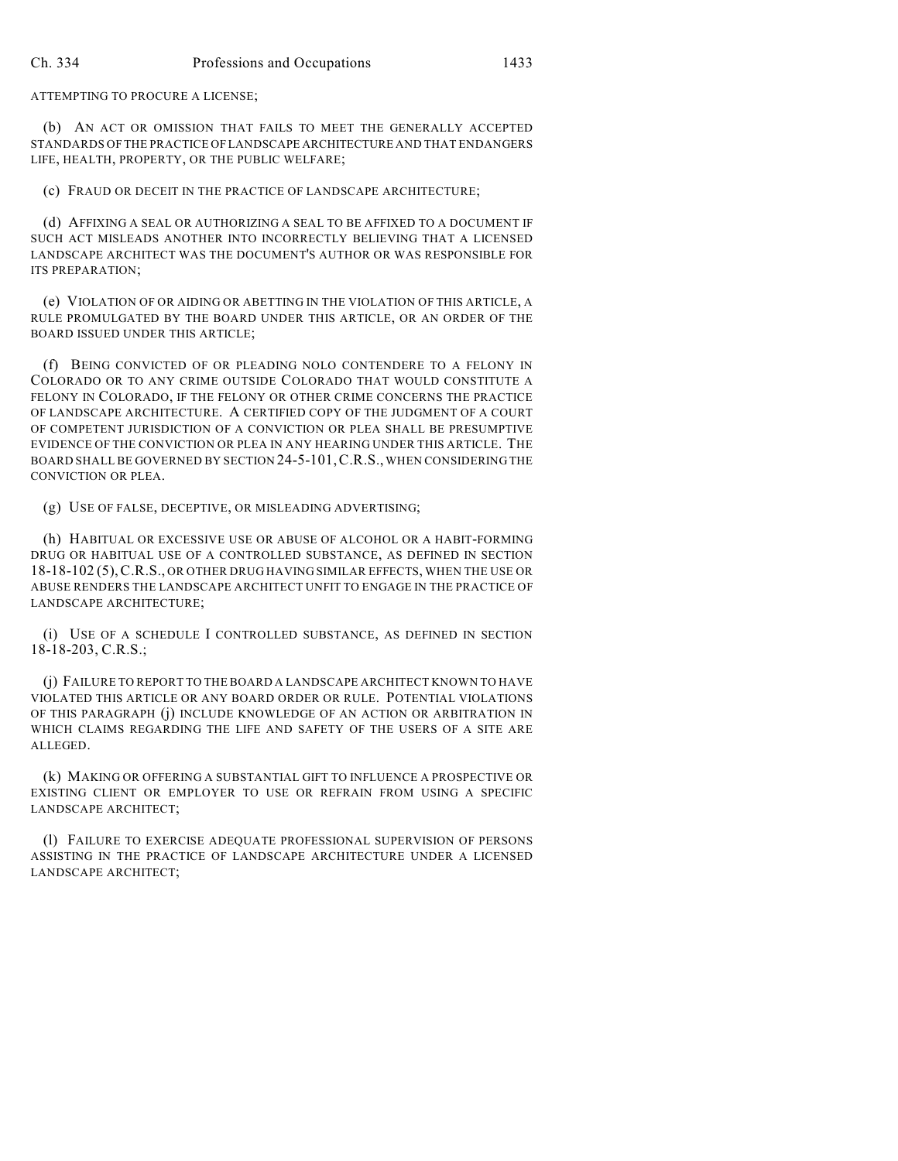ATTEMPTING TO PROCURE A LICENSE;

(b) AN ACT OR OMISSION THAT FAILS TO MEET THE GENERALLY ACCEPTED STANDARDS OF THE PRACTICE OF LANDSCAPE ARCHITECTURE AND THAT ENDANGERS LIFE, HEALTH, PROPERTY, OR THE PUBLIC WELFARE;

(c) FRAUD OR DECEIT IN THE PRACTICE OF LANDSCAPE ARCHITECTURE;

(d) AFFIXING A SEAL OR AUTHORIZING A SEAL TO BE AFFIXED TO A DOCUMENT IF SUCH ACT MISLEADS ANOTHER INTO INCORRECTLY BELIEVING THAT A LICENSED LANDSCAPE ARCHITECT WAS THE DOCUMENT'S AUTHOR OR WAS RESPONSIBLE FOR ITS PREPARATION;

(e) VIOLATION OF OR AIDING OR ABETTING IN THE VIOLATION OF THIS ARTICLE, A RULE PROMULGATED BY THE BOARD UNDER THIS ARTICLE, OR AN ORDER OF THE BOARD ISSUED UNDER THIS ARTICLE;

(f) BEING CONVICTED OF OR PLEADING NOLO CONTENDERE TO A FELONY IN COLORADO OR TO ANY CRIME OUTSIDE COLORADO THAT WOULD CONSTITUTE A FELONY IN COLORADO, IF THE FELONY OR OTHER CRIME CONCERNS THE PRACTICE OF LANDSCAPE ARCHITECTURE. A CERTIFIED COPY OF THE JUDGMENT OF A COURT OF COMPETENT JURISDICTION OF A CONVICTION OR PLEA SHALL BE PRESUMPTIVE EVIDENCE OF THE CONVICTION OR PLEA IN ANY HEARING UNDER THIS ARTICLE. THE BOARD SHALL BE GOVERNED BY SECTION 24-5-101,C.R.S., WHEN CONSIDERING THE CONVICTION OR PLEA.

(g) USE OF FALSE, DECEPTIVE, OR MISLEADING ADVERTISING;

(h) HABITUAL OR EXCESSIVE USE OR ABUSE OF ALCOHOL OR A HABIT-FORMING DRUG OR HABITUAL USE OF A CONTROLLED SUBSTANCE, AS DEFINED IN SECTION 18-18-102 (5),C.R.S., OR OTHER DRUG HAVING SIMILAR EFFECTS, WHEN THE USE OR ABUSE RENDERS THE LANDSCAPE ARCHITECT UNFIT TO ENGAGE IN THE PRACTICE OF LANDSCAPE ARCHITECTURE;

(i) USE OF A SCHEDULE I CONTROLLED SUBSTANCE, AS DEFINED IN SECTION 18-18-203, C.R.S.;

(j) FAILURE TO REPORT TO THE BOARD A LANDSCAPE ARCHITECT KNOWN TO HAVE VIOLATED THIS ARTICLE OR ANY BOARD ORDER OR RULE. POTENTIAL VIOLATIONS OF THIS PARAGRAPH (j) INCLUDE KNOWLEDGE OF AN ACTION OR ARBITRATION IN WHICH CLAIMS REGARDING THE LIFE AND SAFETY OF THE USERS OF A SITE ARE ALLEGED.

(k) MAKING OR OFFERING A SUBSTANTIAL GIFT TO INFLUENCE A PROSPECTIVE OR EXISTING CLIENT OR EMPLOYER TO USE OR REFRAIN FROM USING A SPECIFIC LANDSCAPE ARCHITECT;

(l) FAILURE TO EXERCISE ADEQUATE PROFESSIONAL SUPERVISION OF PERSONS ASSISTING IN THE PRACTICE OF LANDSCAPE ARCHITECTURE UNDER A LICENSED LANDSCAPE ARCHITECT;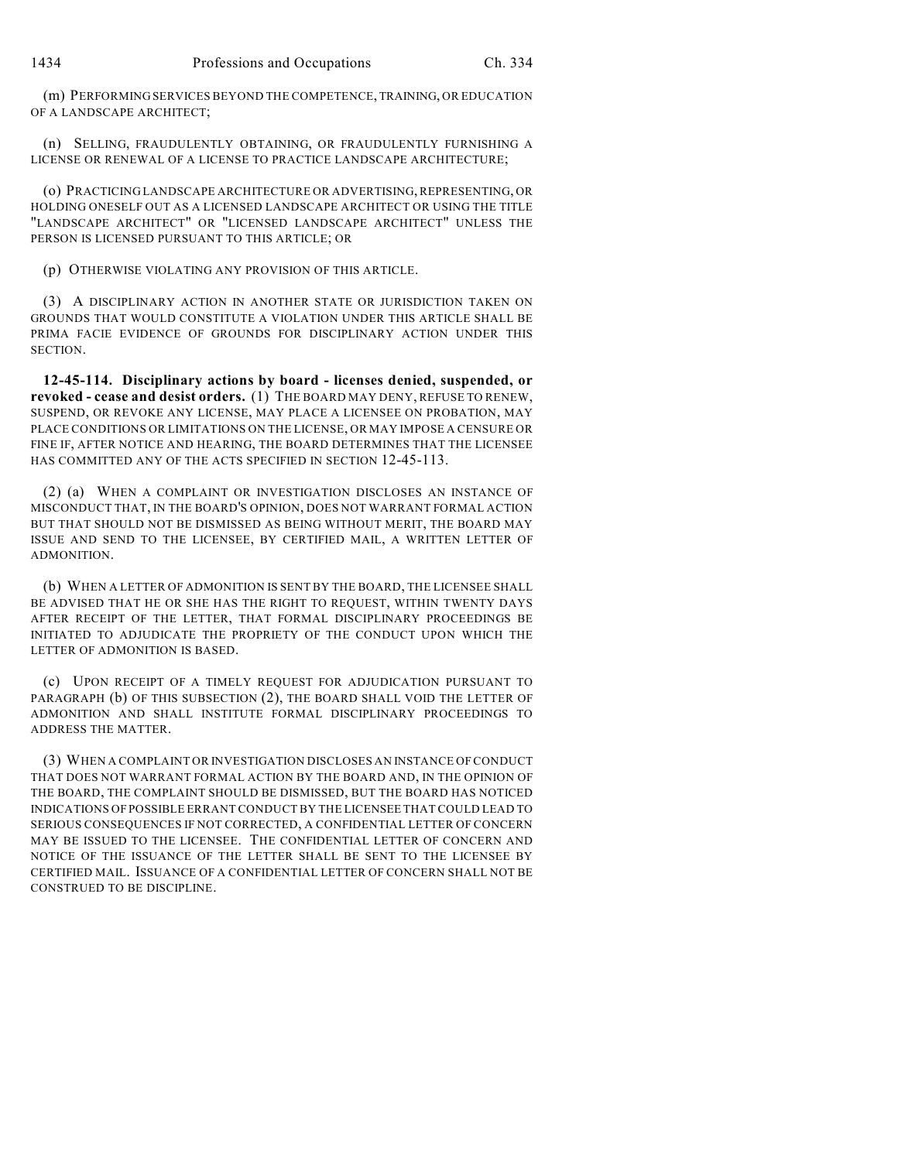(m) PERFORMING SERVICES BEYOND THE COMPETENCE, TRAINING, OR EDUCATION OF A LANDSCAPE ARCHITECT;

(n) SELLING, FRAUDULENTLY OBTAINING, OR FRAUDULENTLY FURNISHING A LICENSE OR RENEWAL OF A LICENSE TO PRACTICE LANDSCAPE ARCHITECTURE;

(o) PRACTICING LANDSCAPE ARCHITECTURE OR ADVERTISING, REPRESENTING, OR HOLDING ONESELF OUT AS A LICENSED LANDSCAPE ARCHITECT OR USING THE TITLE "LANDSCAPE ARCHITECT" OR "LICENSED LANDSCAPE ARCHITECT" UNLESS THE PERSON IS LICENSED PURSUANT TO THIS ARTICLE; OR

(p) OTHERWISE VIOLATING ANY PROVISION OF THIS ARTICLE.

(3) A DISCIPLINARY ACTION IN ANOTHER STATE OR JURISDICTION TAKEN ON GROUNDS THAT WOULD CONSTITUTE A VIOLATION UNDER THIS ARTICLE SHALL BE PRIMA FACIE EVIDENCE OF GROUNDS FOR DISCIPLINARY ACTION UNDER THIS SECTION.

**12-45-114. Disciplinary actions by board - licenses denied, suspended, or revoked - cease and desist orders.** (1) THE BOARD MAY DENY, REFUSE TO RENEW, SUSPEND, OR REVOKE ANY LICENSE, MAY PLACE A LICENSEE ON PROBATION, MAY PLACE CONDITIONS OR LIMITATIONS ON THE LICENSE, OR MAY IMPOSE A CENSURE OR FINE IF, AFTER NOTICE AND HEARING, THE BOARD DETERMINES THAT THE LICENSEE HAS COMMITTED ANY OF THE ACTS SPECIFIED IN SECTION 12-45-113.

(2) (a) WHEN A COMPLAINT OR INVESTIGATION DISCLOSES AN INSTANCE OF MISCONDUCT THAT, IN THE BOARD'S OPINION, DOES NOT WARRANT FORMAL ACTION BUT THAT SHOULD NOT BE DISMISSED AS BEING WITHOUT MERIT, THE BOARD MAY ISSUE AND SEND TO THE LICENSEE, BY CERTIFIED MAIL, A WRITTEN LETTER OF ADMONITION.

(b) WHEN A LETTER OF ADMONITION IS SENT BY THE BOARD, THE LICENSEE SHALL BE ADVISED THAT HE OR SHE HAS THE RIGHT TO REQUEST, WITHIN TWENTY DAYS AFTER RECEIPT OF THE LETTER, THAT FORMAL DISCIPLINARY PROCEEDINGS BE INITIATED TO ADJUDICATE THE PROPRIETY OF THE CONDUCT UPON WHICH THE LETTER OF ADMONITION IS BASED.

(c) UPON RECEIPT OF A TIMELY REQUEST FOR ADJUDICATION PURSUANT TO PARAGRAPH (b) OF THIS SUBSECTION (2), THE BOARD SHALL VOID THE LETTER OF ADMONITION AND SHALL INSTITUTE FORMAL DISCIPLINARY PROCEEDINGS TO ADDRESS THE MATTER.

(3) WHEN A COMPLAINT OR INVESTIGATION DISCLOSES AN INSTANCE OF CONDUCT THAT DOES NOT WARRANT FORMAL ACTION BY THE BOARD AND, IN THE OPINION OF THE BOARD, THE COMPLAINT SHOULD BE DISMISSED, BUT THE BOARD HAS NOTICED INDICATIONS OF POSSIBLE ERRANT CONDUCT BY THE LICENSEE THAT COULD LEAD TO SERIOUS CONSEQUENCES IF NOT CORRECTED, A CONFIDENTIAL LETTER OF CONCERN MAY BE ISSUED TO THE LICENSEE. THE CONFIDENTIAL LETTER OF CONCERN AND NOTICE OF THE ISSUANCE OF THE LETTER SHALL BE SENT TO THE LICENSEE BY CERTIFIED MAIL. ISSUANCE OF A CONFIDENTIAL LETTER OF CONCERN SHALL NOT BE CONSTRUED TO BE DISCIPLINE.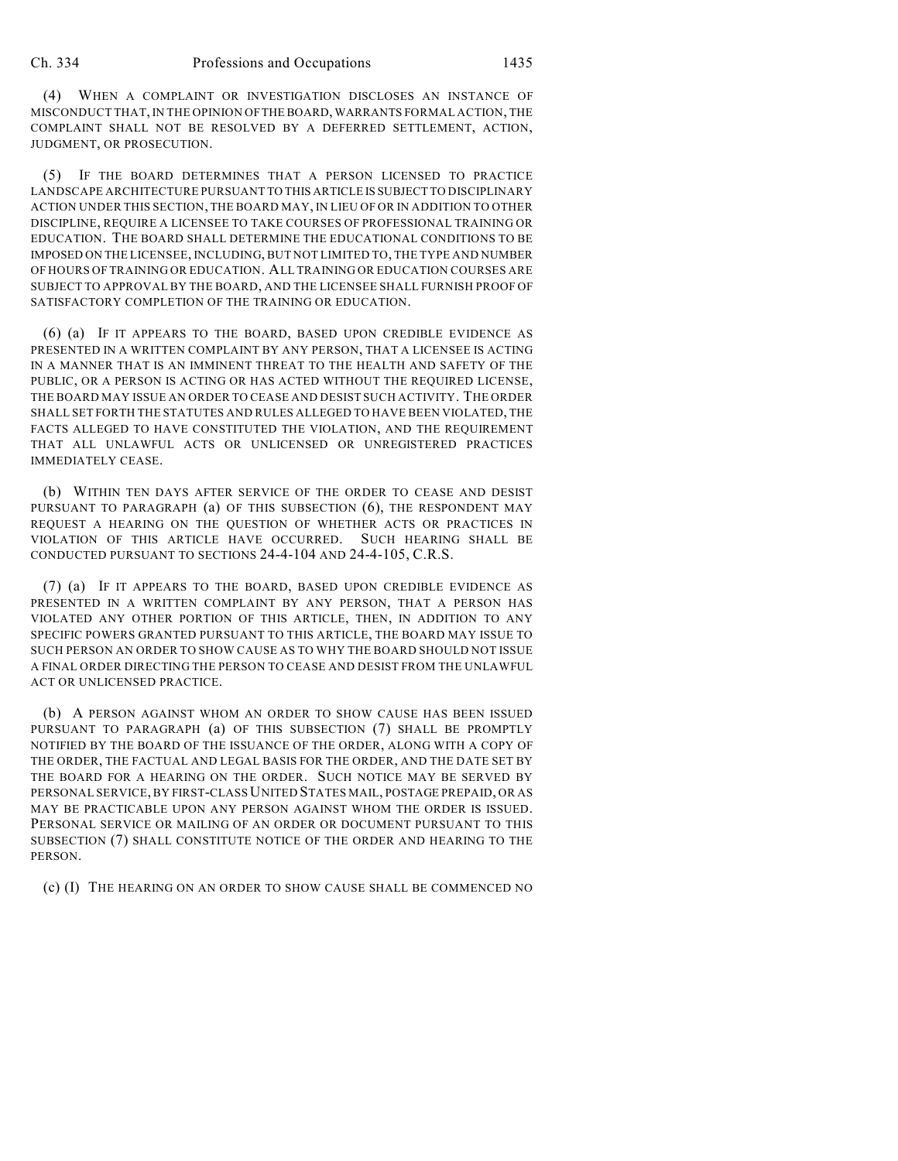(4) WHEN A COMPLAINT OR INVESTIGATION DISCLOSES AN INSTANCE OF MISCONDUCT THAT, IN THE OPINION OF THE BOARD, WARRANTS FORMAL ACTION, THE COMPLAINT SHALL NOT BE RESOLVED BY A DEFERRED SETTLEMENT, ACTION, JUDGMENT, OR PROSECUTION.

(5) IF THE BOARD DETERMINES THAT A PERSON LICENSED TO PRACTICE LANDSCAPE ARCHITECTURE PURSUANT TO THIS ARTICLE IS SUBJECT TO DISCIPLINARY ACTION UNDER THIS SECTION, THE BOARD MAY, IN LIEU OF OR IN ADDITION TO OTHER DISCIPLINE, REQUIRE A LICENSEE TO TAKE COURSES OF PROFESSIONAL TRAINING OR EDUCATION. THE BOARD SHALL DETERMINE THE EDUCATIONAL CONDITIONS TO BE IMPOSED ON THE LICENSEE, INCLUDING, BUT NOT LIMITED TO, THE TYPE AND NUMBER OF HOURS OF TRAINING OR EDUCATION. ALL TRAINING OR EDUCATION COURSES ARE SUBJECT TO APPROVAL BY THE BOARD, AND THE LICENSEE SHALL FURNISH PROOF OF SATISFACTORY COMPLETION OF THE TRAINING OR EDUCATION.

(6) (a) IF IT APPEARS TO THE BOARD, BASED UPON CREDIBLE EVIDENCE AS PRESENTED IN A WRITTEN COMPLAINT BY ANY PERSON, THAT A LICENSEE IS ACTING IN A MANNER THAT IS AN IMMINENT THREAT TO THE HEALTH AND SAFETY OF THE PUBLIC, OR A PERSON IS ACTING OR HAS ACTED WITHOUT THE REQUIRED LICENSE, THE BOARD MAY ISSUE AN ORDER TO CEASE AND DESIST SUCH ACTIVITY. THE ORDER SHALL SET FORTH THE STATUTES AND RULES ALLEGED TO HAVE BEEN VIOLATED, THE FACTS ALLEGED TO HAVE CONSTITUTED THE VIOLATION, AND THE REQUIREMENT THAT ALL UNLAWFUL ACTS OR UNLICENSED OR UNREGISTERED PRACTICES IMMEDIATELY CEASE.

(b) WITHIN TEN DAYS AFTER SERVICE OF THE ORDER TO CEASE AND DESIST PURSUANT TO PARAGRAPH (a) OF THIS SUBSECTION (6), THE RESPONDENT MAY REQUEST A HEARING ON THE QUESTION OF WHETHER ACTS OR PRACTICES IN VIOLATION OF THIS ARTICLE HAVE OCCURRED. SUCH HEARING SHALL BE CONDUCTED PURSUANT TO SECTIONS 24-4-104 AND 24-4-105, C.R.S.

(7) (a) IF IT APPEARS TO THE BOARD, BASED UPON CREDIBLE EVIDENCE AS PRESENTED IN A WRITTEN COMPLAINT BY ANY PERSON, THAT A PERSON HAS VIOLATED ANY OTHER PORTION OF THIS ARTICLE, THEN, IN ADDITION TO ANY SPECIFIC POWERS GRANTED PURSUANT TO THIS ARTICLE, THE BOARD MAY ISSUE TO SUCH PERSON AN ORDER TO SHOW CAUSE AS TO WHY THE BOARD SHOULD NOT ISSUE A FINAL ORDER DIRECTING THE PERSON TO CEASE AND DESIST FROM THE UNLAWFUL ACT OR UNLICENSED PRACTICE.

(b) A PERSON AGAINST WHOM AN ORDER TO SHOW CAUSE HAS BEEN ISSUED PURSUANT TO PARAGRAPH (a) OF THIS SUBSECTION (7) SHALL BE PROMPTLY NOTIFIED BY THE BOARD OF THE ISSUANCE OF THE ORDER, ALONG WITH A COPY OF THE ORDER, THE FACTUAL AND LEGAL BASIS FOR THE ORDER, AND THE DATE SET BY THE BOARD FOR A HEARING ON THE ORDER. SUCH NOTICE MAY BE SERVED BY PERSONAL SERVICE, BY FIRST-CLASS UNITED STATES MAIL, POSTAGE PREPAID, OR AS MAY BE PRACTICABLE UPON ANY PERSON AGAINST WHOM THE ORDER IS ISSUED. PERSONAL SERVICE OR MAILING OF AN ORDER OR DOCUMENT PURSUANT TO THIS SUBSECTION (7) SHALL CONSTITUTE NOTICE OF THE ORDER AND HEARING TO THE PERSON.

(c) (I) THE HEARING ON AN ORDER TO SHOW CAUSE SHALL BE COMMENCED NO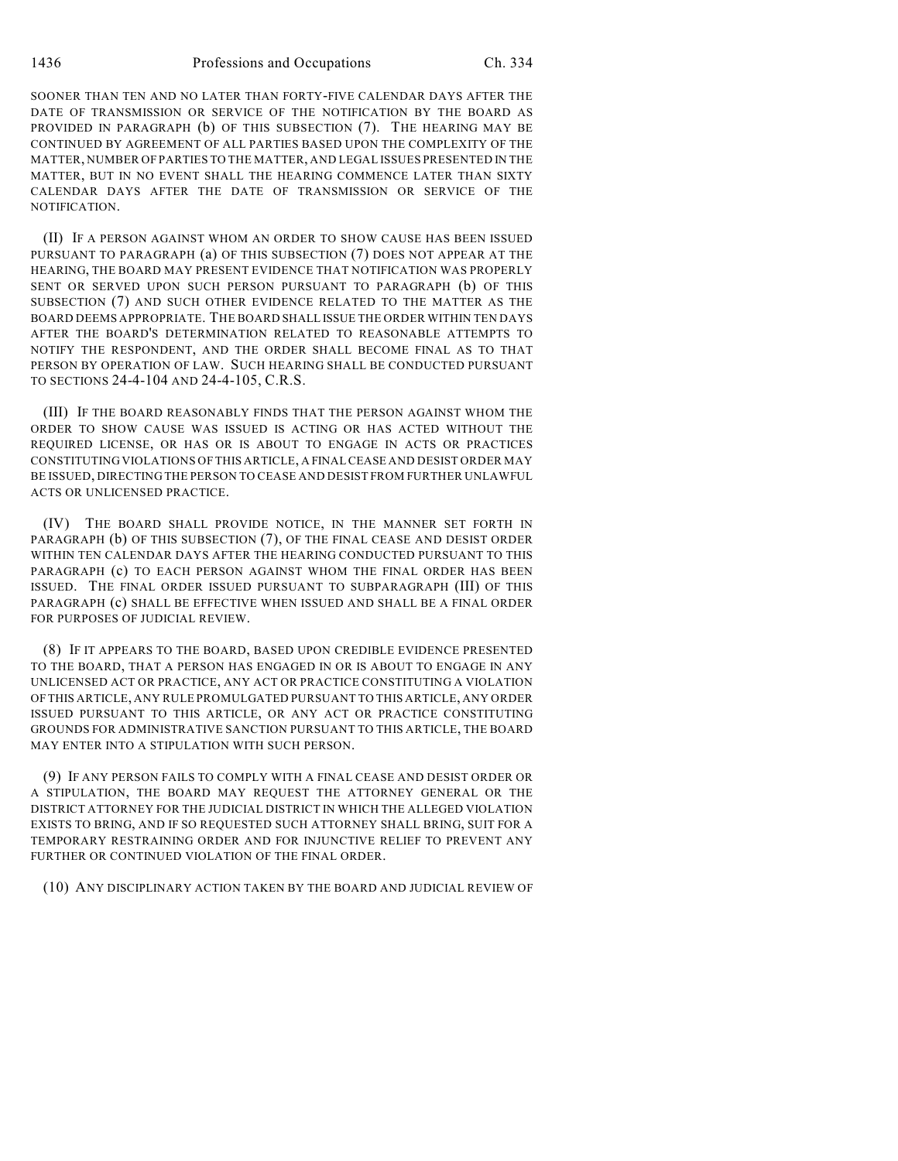SOONER THAN TEN AND NO LATER THAN FORTY-FIVE CALENDAR DAYS AFTER THE DATE OF TRANSMISSION OR SERVICE OF THE NOTIFICATION BY THE BOARD AS PROVIDED IN PARAGRAPH (b) OF THIS SUBSECTION (7). THE HEARING MAY BE CONTINUED BY AGREEMENT OF ALL PARTIES BASED UPON THE COMPLEXITY OF THE MATTER, NUMBER OF PARTIES TO THE MATTER, AND LEGAL ISSUES PRESENTED IN THE MATTER, BUT IN NO EVENT SHALL THE HEARING COMMENCE LATER THAN SIXTY CALENDAR DAYS AFTER THE DATE OF TRANSMISSION OR SERVICE OF THE NOTIFICATION.

(II) IF A PERSON AGAINST WHOM AN ORDER TO SHOW CAUSE HAS BEEN ISSUED PURSUANT TO PARAGRAPH (a) OF THIS SUBSECTION (7) DOES NOT APPEAR AT THE HEARING, THE BOARD MAY PRESENT EVIDENCE THAT NOTIFICATION WAS PROPERLY SENT OR SERVED UPON SUCH PERSON PURSUANT TO PARAGRAPH (b) OF THIS SUBSECTION (7) AND SUCH OTHER EVIDENCE RELATED TO THE MATTER AS THE BOARD DEEMS APPROPRIATE. THE BOARD SHALL ISSUE THE ORDER WITHIN TEN DAYS AFTER THE BOARD'S DETERMINATION RELATED TO REASONABLE ATTEMPTS TO NOTIFY THE RESPONDENT, AND THE ORDER SHALL BECOME FINAL AS TO THAT PERSON BY OPERATION OF LAW. SUCH HEARING SHALL BE CONDUCTED PURSUANT TO SECTIONS 24-4-104 AND 24-4-105, C.R.S.

(III) IF THE BOARD REASONABLY FINDS THAT THE PERSON AGAINST WHOM THE ORDER TO SHOW CAUSE WAS ISSUED IS ACTING OR HAS ACTED WITHOUT THE REQUIRED LICENSE, OR HAS OR IS ABOUT TO ENGAGE IN ACTS OR PRACTICES CONSTITUTING VIOLATIONS OF THIS ARTICLE, A FINAL CEASE AND DESIST ORDER MAY BE ISSUED, DIRECTING THE PERSON TO CEASE AND DESIST FROM FURTHER UNLAWFUL ACTS OR UNLICENSED PRACTICE.

(IV) THE BOARD SHALL PROVIDE NOTICE, IN THE MANNER SET FORTH IN PARAGRAPH (b) OF THIS SUBSECTION (7), OF THE FINAL CEASE AND DESIST ORDER WITHIN TEN CALENDAR DAYS AFTER THE HEARING CONDUCTED PURSUANT TO THIS PARAGRAPH (c) TO EACH PERSON AGAINST WHOM THE FINAL ORDER HAS BEEN ISSUED. THE FINAL ORDER ISSUED PURSUANT TO SUBPARAGRAPH (III) OF THIS PARAGRAPH (c) SHALL BE EFFECTIVE WHEN ISSUED AND SHALL BE A FINAL ORDER FOR PURPOSES OF JUDICIAL REVIEW.

(8) IF IT APPEARS TO THE BOARD, BASED UPON CREDIBLE EVIDENCE PRESENTED TO THE BOARD, THAT A PERSON HAS ENGAGED IN OR IS ABOUT TO ENGAGE IN ANY UNLICENSED ACT OR PRACTICE, ANY ACT OR PRACTICE CONSTITUTING A VIOLATION OF THIS ARTICLE, ANY RULE PROMULGATED PURSUANT TO THIS ARTICLE, ANY ORDER ISSUED PURSUANT TO THIS ARTICLE, OR ANY ACT OR PRACTICE CONSTITUTING GROUNDS FOR ADMINISTRATIVE SANCTION PURSUANT TO THIS ARTICLE, THE BOARD MAY ENTER INTO A STIPULATION WITH SUCH PERSON.

(9) IF ANY PERSON FAILS TO COMPLY WITH A FINAL CEASE AND DESIST ORDER OR A STIPULATION, THE BOARD MAY REQUEST THE ATTORNEY GENERAL OR THE DISTRICT ATTORNEY FOR THE JUDICIAL DISTRICT IN WHICH THE ALLEGED VIOLATION EXISTS TO BRING, AND IF SO REQUESTED SUCH ATTORNEY SHALL BRING, SUIT FOR A TEMPORARY RESTRAINING ORDER AND FOR INJUNCTIVE RELIEF TO PREVENT ANY FURTHER OR CONTINUED VIOLATION OF THE FINAL ORDER.

(10) ANY DISCIPLINARY ACTION TAKEN BY THE BOARD AND JUDICIAL REVIEW OF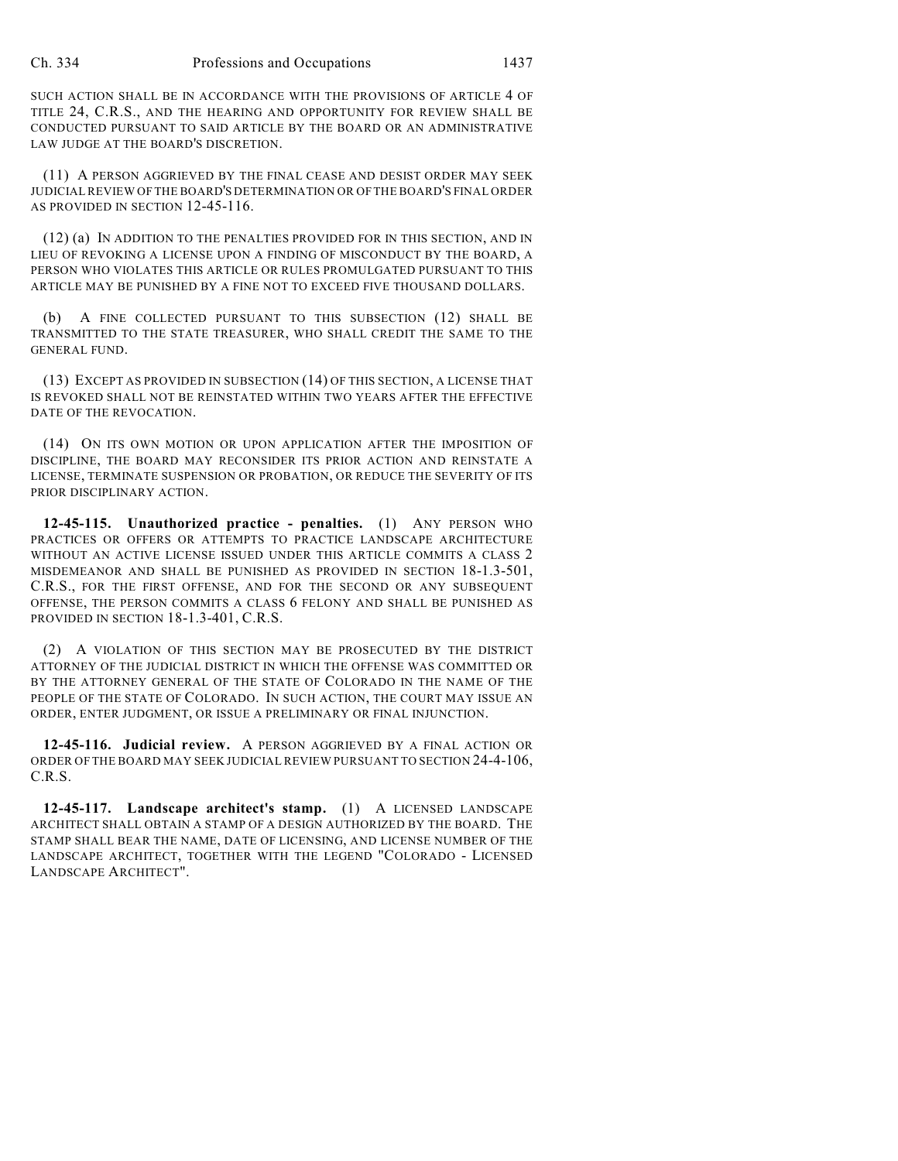SUCH ACTION SHALL BE IN ACCORDANCE WITH THE PROVISIONS OF ARTICLE 4 OF TITLE 24, C.R.S., AND THE HEARING AND OPPORTUNITY FOR REVIEW SHALL BE CONDUCTED PURSUANT TO SAID ARTICLE BY THE BOARD OR AN ADMINISTRATIVE LAW JUDGE AT THE BOARD'S DISCRETION.

(11) A PERSON AGGRIEVED BY THE FINAL CEASE AND DESIST ORDER MAY SEEK JUDICIAL REVIEW OF THE BOARD'S DETERMINATION OR OF THE BOARD'S FINAL ORDER AS PROVIDED IN SECTION 12-45-116.

(12) (a) IN ADDITION TO THE PENALTIES PROVIDED FOR IN THIS SECTION, AND IN LIEU OF REVOKING A LICENSE UPON A FINDING OF MISCONDUCT BY THE BOARD, A PERSON WHO VIOLATES THIS ARTICLE OR RULES PROMULGATED PURSUANT TO THIS ARTICLE MAY BE PUNISHED BY A FINE NOT TO EXCEED FIVE THOUSAND DOLLARS.

(b) A FINE COLLECTED PURSUANT TO THIS SUBSECTION (12) SHALL BE TRANSMITTED TO THE STATE TREASURER, WHO SHALL CREDIT THE SAME TO THE GENERAL FUND.

(13) EXCEPT AS PROVIDED IN SUBSECTION (14) OF THIS SECTION, A LICENSE THAT IS REVOKED SHALL NOT BE REINSTATED WITHIN TWO YEARS AFTER THE EFFECTIVE DATE OF THE REVOCATION.

(14) ON ITS OWN MOTION OR UPON APPLICATION AFTER THE IMPOSITION OF DISCIPLINE, THE BOARD MAY RECONSIDER ITS PRIOR ACTION AND REINSTATE A LICENSE, TERMINATE SUSPENSION OR PROBATION, OR REDUCE THE SEVERITY OF ITS PRIOR DISCIPLINARY ACTION.

**12-45-115. Unauthorized practice - penalties.** (1) ANY PERSON WHO PRACTICES OR OFFERS OR ATTEMPTS TO PRACTICE LANDSCAPE ARCHITECTURE WITHOUT AN ACTIVE LICENSE ISSUED UNDER THIS ARTICLE COMMITS A CLASS 2 MISDEMEANOR AND SHALL BE PUNISHED AS PROVIDED IN SECTION 18-1.3-501, C.R.S., FOR THE FIRST OFFENSE, AND FOR THE SECOND OR ANY SUBSEQUENT OFFENSE, THE PERSON COMMITS A CLASS 6 FELONY AND SHALL BE PUNISHED AS PROVIDED IN SECTION 18-1.3-401, C.R.S.

(2) A VIOLATION OF THIS SECTION MAY BE PROSECUTED BY THE DISTRICT ATTORNEY OF THE JUDICIAL DISTRICT IN WHICH THE OFFENSE WAS COMMITTED OR BY THE ATTORNEY GENERAL OF THE STATE OF COLORADO IN THE NAME OF THE PEOPLE OF THE STATE OF COLORADO. IN SUCH ACTION, THE COURT MAY ISSUE AN ORDER, ENTER JUDGMENT, OR ISSUE A PRELIMINARY OR FINAL INJUNCTION.

**12-45-116. Judicial review.** A PERSON AGGRIEVED BY A FINAL ACTION OR ORDER OF THE BOARD MAY SEEK JUDICIAL REVIEW PURSUANT TO SECTION 24-4-106, C.R.S.

**12-45-117. Landscape architect's stamp.** (1) A LICENSED LANDSCAPE ARCHITECT SHALL OBTAIN A STAMP OF A DESIGN AUTHORIZED BY THE BOARD. THE STAMP SHALL BEAR THE NAME, DATE OF LICENSING, AND LICENSE NUMBER OF THE LANDSCAPE ARCHITECT, TOGETHER WITH THE LEGEND "COLORADO - LICENSED LANDSCAPE ARCHITECT".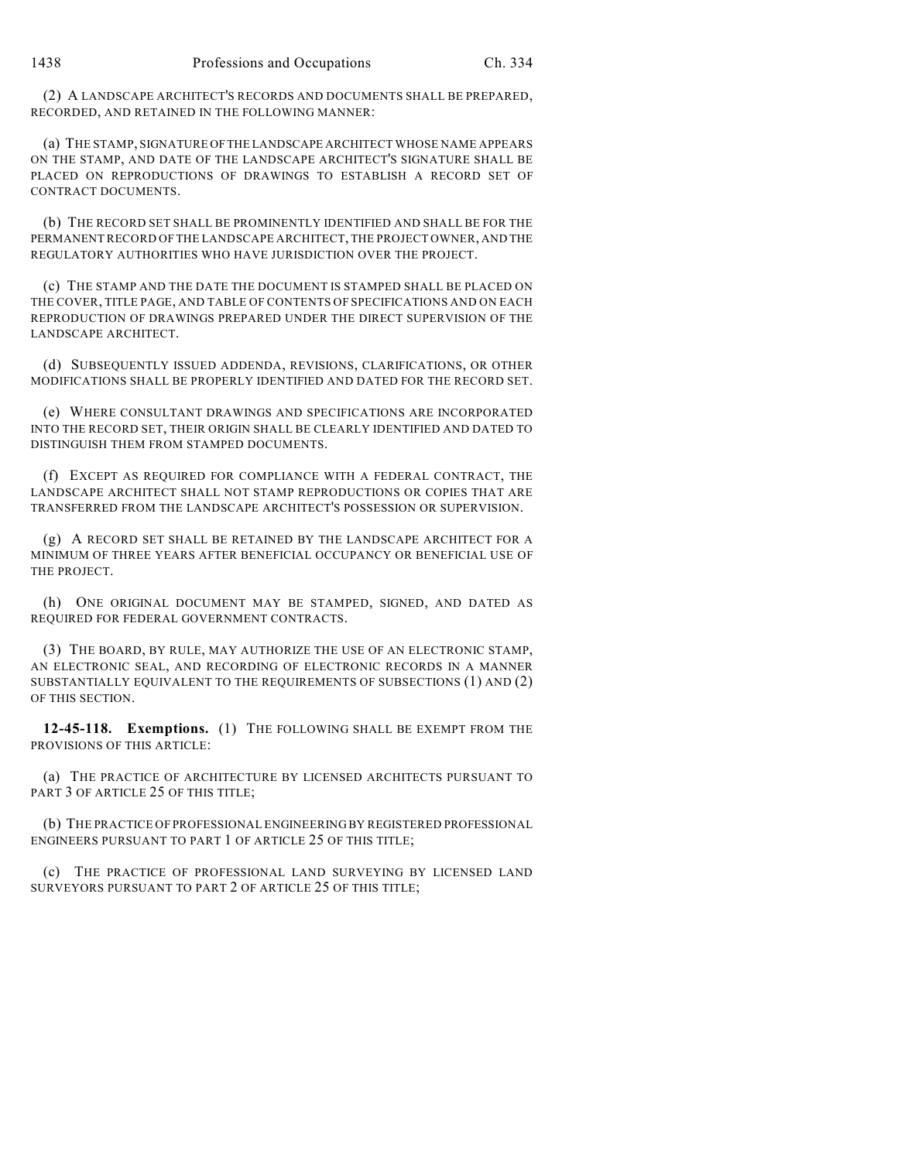(2) A LANDSCAPE ARCHITECT'S RECORDS AND DOCUMENTS SHALL BE PREPARED, RECORDED, AND RETAINED IN THE FOLLOWING MANNER:

(a) THE STAMP, SIGNATURE OF THE LANDSCAPE ARCHITECT WHOSE NAME APPEARS ON THE STAMP, AND DATE OF THE LANDSCAPE ARCHITECT'S SIGNATURE SHALL BE PLACED ON REPRODUCTIONS OF DRAWINGS TO ESTABLISH A RECORD SET OF CONTRACT DOCUMENTS.

(b) THE RECORD SET SHALL BE PROMINENTLY IDENTIFIED AND SHALL BE FOR THE PERMANENT RECORD OF THE LANDSCAPE ARCHITECT, THE PROJECT OWNER, AND THE REGULATORY AUTHORITIES WHO HAVE JURISDICTION OVER THE PROJECT.

(c) THE STAMP AND THE DATE THE DOCUMENT IS STAMPED SHALL BE PLACED ON THE COVER, TITLE PAGE, AND TABLE OF CONTENTS OF SPECIFICATIONS AND ON EACH REPRODUCTION OF DRAWINGS PREPARED UNDER THE DIRECT SUPERVISION OF THE LANDSCAPE ARCHITECT.

(d) SUBSEQUENTLY ISSUED ADDENDA, REVISIONS, CLARIFICATIONS, OR OTHER MODIFICATIONS SHALL BE PROPERLY IDENTIFIED AND DATED FOR THE RECORD SET.

(e) WHERE CONSULTANT DRAWINGS AND SPECIFICATIONS ARE INCORPORATED INTO THE RECORD SET, THEIR ORIGIN SHALL BE CLEARLY IDENTIFIED AND DATED TO DISTINGUISH THEM FROM STAMPED DOCUMENTS.

(f) EXCEPT AS REQUIRED FOR COMPLIANCE WITH A FEDERAL CONTRACT, THE LANDSCAPE ARCHITECT SHALL NOT STAMP REPRODUCTIONS OR COPIES THAT ARE TRANSFERRED FROM THE LANDSCAPE ARCHITECT'S POSSESSION OR SUPERVISION.

(g) A RECORD SET SHALL BE RETAINED BY THE LANDSCAPE ARCHITECT FOR A MINIMUM OF THREE YEARS AFTER BENEFICIAL OCCUPANCY OR BENEFICIAL USE OF THE PROJECT.

(h) ONE ORIGINAL DOCUMENT MAY BE STAMPED, SIGNED, AND DATED AS REQUIRED FOR FEDERAL GOVERNMENT CONTRACTS.

(3) THE BOARD, BY RULE, MAY AUTHORIZE THE USE OF AN ELECTRONIC STAMP, AN ELECTRONIC SEAL, AND RECORDING OF ELECTRONIC RECORDS IN A MANNER SUBSTANTIALLY EQUIVALENT TO THE REQUIREMENTS OF SUBSECTIONS (1) AND (2) OF THIS SECTION.

**12-45-118. Exemptions.** (1) THE FOLLOWING SHALL BE EXEMPT FROM THE PROVISIONS OF THIS ARTICLE:

(a) THE PRACTICE OF ARCHITECTURE BY LICENSED ARCHITECTS PURSUANT TO PART 3 OF ARTICLE 25 OF THIS TITLE;

(b) THE PRACTICE OF PROFESSIONAL ENGINEERING BY REGISTERED PROFESSIONAL ENGINEERS PURSUANT TO PART 1 OF ARTICLE 25 OF THIS TITLE;

(c) THE PRACTICE OF PROFESSIONAL LAND SURVEYING BY LICENSED LAND SURVEYORS PURSUANT TO PART 2 OF ARTICLE 25 OF THIS TITLE;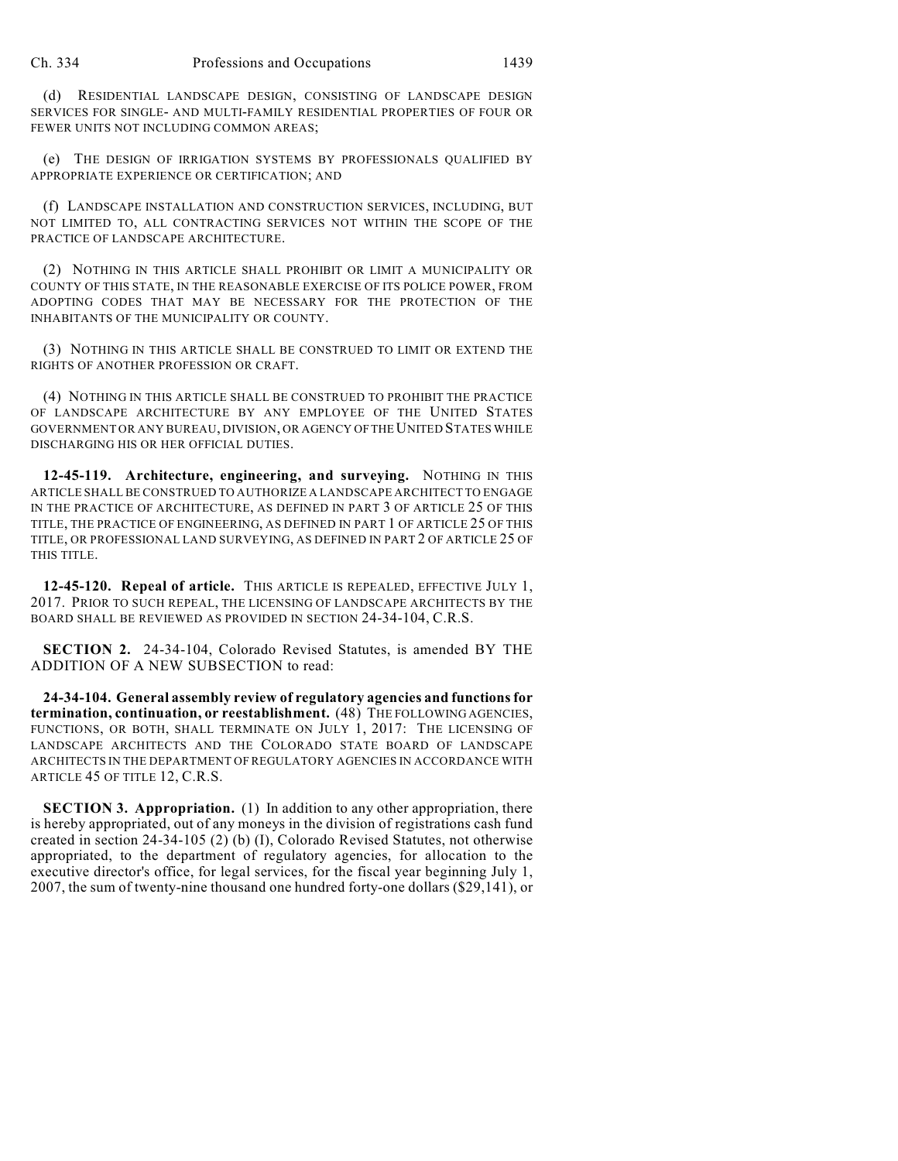(d) RESIDENTIAL LANDSCAPE DESIGN, CONSISTING OF LANDSCAPE DESIGN SERVICES FOR SINGLE- AND MULTI-FAMILY RESIDENTIAL PROPERTIES OF FOUR OR FEWER UNITS NOT INCLUDING COMMON AREAS;

(e) THE DESIGN OF IRRIGATION SYSTEMS BY PROFESSIONALS QUALIFIED BY APPROPRIATE EXPERIENCE OR CERTIFICATION; AND

(f) LANDSCAPE INSTALLATION AND CONSTRUCTION SERVICES, INCLUDING, BUT NOT LIMITED TO, ALL CONTRACTING SERVICES NOT WITHIN THE SCOPE OF THE PRACTICE OF LANDSCAPE ARCHITECTURE.

(2) NOTHING IN THIS ARTICLE SHALL PROHIBIT OR LIMIT A MUNICIPALITY OR COUNTY OF THIS STATE, IN THE REASONABLE EXERCISE OF ITS POLICE POWER, FROM ADOPTING CODES THAT MAY BE NECESSARY FOR THE PROTECTION OF THE INHABITANTS OF THE MUNICIPALITY OR COUNTY.

(3) NOTHING IN THIS ARTICLE SHALL BE CONSTRUED TO LIMIT OR EXTEND THE RIGHTS OF ANOTHER PROFESSION OR CRAFT.

(4) NOTHING IN THIS ARTICLE SHALL BE CONSTRUED TO PROHIBIT THE PRACTICE OF LANDSCAPE ARCHITECTURE BY ANY EMPLOYEE OF THE UNITED STATES GOVERNMENT OR ANY BUREAU, DIVISION, OR AGENCY OF THE UNITED STATES WHILE DISCHARGING HIS OR HER OFFICIAL DUTIES.

**12-45-119. Architecture, engineering, and surveying.** NOTHING IN THIS ARTICLE SHALL BE CONSTRUED TO AUTHORIZE A LANDSCAPE ARCHITECT TO ENGAGE IN THE PRACTICE OF ARCHITECTURE, AS DEFINED IN PART 3 OF ARTICLE 25 OF THIS TITLE, THE PRACTICE OF ENGINEERING, AS DEFINED IN PART 1 OF ARTICLE 25 OF THIS TITLE, OR PROFESSIONAL LAND SURVEYING, AS DEFINED IN PART 2 OF ARTICLE 25 OF THIS TITLE.

**12-45-120. Repeal of article.** THIS ARTICLE IS REPEALED, EFFECTIVE JULY 1, 2017. PRIOR TO SUCH REPEAL, THE LICENSING OF LANDSCAPE ARCHITECTS BY THE BOARD SHALL BE REVIEWED AS PROVIDED IN SECTION 24-34-104, C.R.S.

**SECTION 2.** 24-34-104, Colorado Revised Statutes, is amended BY THE ADDITION OF A NEW SUBSECTION to read:

**24-34-104. General assembly review of regulatory agencies and functions for termination, continuation, or reestablishment.** (48) THE FOLLOWING AGENCIES, FUNCTIONS, OR BOTH, SHALL TERMINATE ON JULY 1, 2017: THE LICENSING OF LANDSCAPE ARCHITECTS AND THE COLORADO STATE BOARD OF LANDSCAPE ARCHITECTS IN THE DEPARTMENT OF REGULATORY AGENCIES IN ACCORDANCE WITH ARTICLE 45 OF TITLE 12, C.R.S.

**SECTION 3. Appropriation.** (1) In addition to any other appropriation, there is hereby appropriated, out of any moneys in the division of registrations cash fund created in section 24-34-105 (2) (b) (I), Colorado Revised Statutes, not otherwise appropriated, to the department of regulatory agencies, for allocation to the executive director's office, for legal services, for the fiscal year beginning July 1, 2007, the sum of twenty-nine thousand one hundred forty-one dollars (\$29,141), or